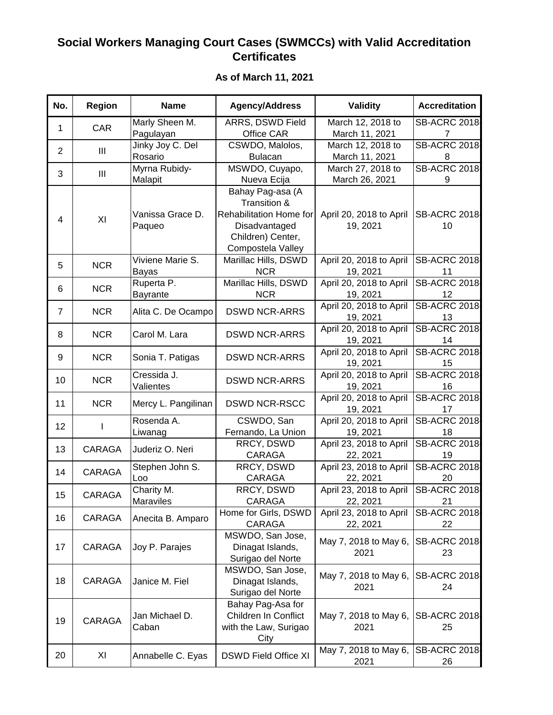## **Social Workers Managing Court Cases (SWMCCs) with Valid Accreditation Certificates**

| No.            | <b>Region</b> | <b>Name</b>                 | <b>Agency/Address</b>                                                                                                  | <b>Validity</b>                     | <b>Accreditation</b>      |
|----------------|---------------|-----------------------------|------------------------------------------------------------------------------------------------------------------------|-------------------------------------|---------------------------|
| 1              | <b>CAR</b>    | Marly Sheen M.<br>Pagulayan | ARRS, DSWD Field<br>Office CAR                                                                                         | March 12, 2018 to<br>March 11, 2021 | <b>SB-ACRC 2018</b>       |
| $\overline{2}$ | Ш             | Jinky Joy C. Del<br>Rosario | CSWDO, Malolos,<br><b>Bulacan</b>                                                                                      | March 12, 2018 to<br>March 11, 2021 | <b>SB-ACRC 2018</b><br>8  |
| 3              | Ш             | Myrna Rubidy-<br>Malapit    | MSWDO, Cuyapo,<br>Nueva Ecija                                                                                          | March 27, 2018 to<br>March 26, 2021 | <b>SB-ACRC 2018</b><br>9  |
| $\overline{4}$ | XI            | Vanissa Grace D.<br>Paqueo  | Bahay Pag-asa (A<br>Transition &<br>Rehabilitation Home for<br>Disadvantaged<br>Children) Center,<br>Compostela Valley | April 20, 2018 to April<br>19, 2021 | <b>SB-ACRC 2018</b><br>10 |
| 5              | <b>NCR</b>    | Viviene Marie S.<br>Bayas   | Marillac Hills, DSWD<br><b>NCR</b>                                                                                     | April 20, 2018 to April<br>19, 2021 | <b>SB-ACRC 2018</b><br>11 |
| 6              | <b>NCR</b>    | Ruperta P.<br>Bayrante      | Marillac Hills, DSWD<br><b>NCR</b>                                                                                     | April 20, 2018 to April<br>19, 2021 | <b>SB-ACRC 2018</b><br>12 |
| $\overline{7}$ | <b>NCR</b>    | Alita C. De Ocampo          | <b>DSWD NCR-ARRS</b>                                                                                                   | April 20, 2018 to April<br>19, 2021 | <b>SB-ACRC 2018</b><br>13 |
| 8              | <b>NCR</b>    | Carol M. Lara               | <b>DSWD NCR-ARRS</b>                                                                                                   | April 20, 2018 to April<br>19, 2021 | <b>SB-ACRC 2018</b><br>14 |
| 9              | <b>NCR</b>    | Sonia T. Patigas            | <b>DSWD NCR-ARRS</b>                                                                                                   | April 20, 2018 to April<br>19, 2021 | <b>SB-ACRC 2018</b><br>15 |
| 10             | <b>NCR</b>    | Cressida J.<br>Valientes    | <b>DSWD NCR-ARRS</b>                                                                                                   | April 20, 2018 to April<br>19, 2021 | <b>SB-ACRC 2018</b><br>16 |
| 11             | <b>NCR</b>    | Mercy L. Pangilinan         | <b>DSWD NCR-RSCC</b>                                                                                                   | April 20, 2018 to April<br>19, 2021 | <b>SB-ACRC 2018</b><br>17 |
| 12             |               | Rosenda A.<br>Liwanag       | CSWDO, San<br>Fernando, La Union                                                                                       | April 20, 2018 to April<br>19, 2021 | <b>SB-ACRC 2018</b><br>18 |
| 13             | CARAGA        | Juderiz O. Neri             | RRCY, DSWD<br>CARAGA                                                                                                   | April 23, 2018 to April<br>22, 2021 | <b>SB-ACRC 2018</b><br>19 |
| 14             | <b>CARAGA</b> | Stephen John S.<br>Loo      | RRCY, DSWD<br>CARAGA                                                                                                   | April 23, 2018 to April<br>22, 2021 | <b>SB-ACRC 2018</b><br>20 |
| 15             | CARAGA        | Charity M.<br>Maraviles     | RRCY, DSWD<br>CARAGA                                                                                                   | April 23, 2018 to April<br>22, 2021 | <b>SB-ACRC 2018</b><br>21 |
| 16             | CARAGA        | Anecita B. Amparo           | Home for Girls, DSWD<br>CARAGA                                                                                         | April 23, 2018 to April<br>22, 2021 | <b>SB-ACRC 2018</b><br>22 |
| 17             | CARAGA        | Joy P. Parajes              | MSWDO, San Jose,<br>Dinagat Islands,<br>Surigao del Norte                                                              | May 7, 2018 to May 6,<br>2021       | <b>SB-ACRC 2018</b><br>23 |
| 18             | CARAGA        | Janice M. Fiel              | MSWDO, San Jose,<br>Dinagat Islands,<br>Surigao del Norte                                                              | May 7, 2018 to May 6,<br>2021       | <b>SB-ACRC 2018</b><br>24 |
| 19             | CARAGA        | Jan Michael D.<br>Caban     | Bahay Pag-Asa for<br>Children In Conflict<br>with the Law, Surigao<br>City                                             | May 7, 2018 to May 6,<br>2021       | <b>SB-ACRC 2018</b><br>25 |
| 20             | XI            | Annabelle C. Eyas           | <b>DSWD Field Office XI</b>                                                                                            | May 7, 2018 to May 6,<br>2021       | <b>SB-ACRC 2018</b><br>26 |

**As of March 11, 2021**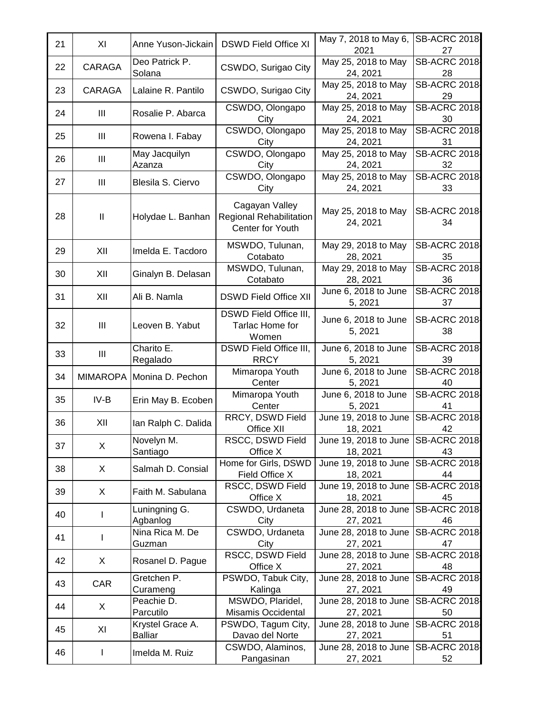| 21 | XI              | Anne Yuson-Jickain                 | <b>DSWD Field Office XI</b>                                   | May 7, 2018 to May 6,<br>2021                  | <b>SB-ACRC 2018</b><br>27 |
|----|-----------------|------------------------------------|---------------------------------------------------------------|------------------------------------------------|---------------------------|
| 22 | <b>CARAGA</b>   | Deo Patrick P.<br>Solana           | CSWDO, Surigao City                                           | May 25, 2018 to May<br>24, 2021                | <b>SB-ACRC 2018</b><br>28 |
| 23 | <b>CARAGA</b>   | Lalaine R. Pantilo                 | CSWDO, Surigao City                                           | May 25, 2018 to May<br>24, 2021                | <b>SB-ACRC 2018</b><br>29 |
| 24 | Ш               | Rosalie P. Abarca                  | CSWDO, Olongapo<br>City                                       | May 25, 2018 to May<br>24, 2021                | <b>SB-ACRC 2018</b><br>30 |
| 25 | Ш               | Rowena I. Fabay                    | CSWDO, Olongapo<br>City                                       | May 25, 2018 to May<br>24, 2021                | <b>SB-ACRC 2018</b><br>31 |
| 26 | Ш               | May Jacquilyn<br>Azanza            | CSWDO, Olongapo<br>City                                       | May 25, 2018 to May<br>24, 2021                | <b>SB-ACRC 2018</b><br>32 |
| 27 | Ш               | Blesila S. Ciervo                  | CSWDO, Olongapo<br>City                                       | May 25, 2018 to May<br>24, 2021                | <b>SB-ACRC 2018</b><br>33 |
| 28 | $\sf II$        | Holydae L. Banhan                  | Cagayan Valley<br>Regional Rehabilitation<br>Center for Youth | May 25, 2018 to May<br>24, 2021                | <b>SB-ACRC 2018</b><br>34 |
| 29 | XII             | Imelda E. Tacdoro                  | MSWDO, Tulunan,<br>Cotabato                                   | May 29, 2018 to May<br>28, 2021                | <b>SB-ACRC 2018</b><br>35 |
| 30 | XII             | Ginalyn B. Delasan                 | MSWDO, Tulunan,<br>Cotabato                                   | May 29, 2018 to May<br>28, 2021                | <b>SB-ACRC 2018</b><br>36 |
| 31 | XII             | Ali B. Namla                       | <b>DSWD Field Office XII</b>                                  | June 6, 2018 to June<br>5, 2021                | <b>SB-ACRC 2018</b><br>37 |
| 32 | Ш               | Leoven B. Yabut                    | DSWD Field Office III,<br>Tarlac Home for<br>Women            | June 6, 2018 to June<br>5, 2021                | <b>SB-ACRC 2018</b><br>38 |
| 33 | Ш               | Charito E.<br>Regalado             | DSWD Field Office III,<br><b>RRCY</b>                         | June 6, 2018 to June<br>5, 2021                | <b>SB-ACRC 2018</b><br>39 |
| 34 | <b>MIMAROPA</b> | Monina D. Pechon                   | Mimaropa Youth<br>Center                                      | June 6, 2018 to June<br>5, 2021                | <b>SB-ACRC 2018</b><br>40 |
| 35 | IV-B            | Erin May B. Ecoben                 | Mimaropa Youth<br>Center                                      | June 6, 2018 to June<br>5, 2021                | <b>SB-ACRC 2018</b><br>41 |
| 36 | XII             | lan Ralph C. Dalida                | RRCY, DSWD Field<br>Office XII                                | June 19, 2018 to June<br>18, 2021              | <b>SB-ACRC 2018</b><br>42 |
| 37 | X               | Novelyn M.<br>Santiago             | RSCC, DSWD Field<br>Office X                                  | June 19, 2018 to June SB-ACRC 2018<br>18, 2021 | 43                        |
| 38 | X               | Salmah D. Consial                  | Home for Girls, DSWD<br>Field Office X                        | June 19, 2018 to June<br>18, 2021              | <b>SB-ACRC 2018</b><br>44 |
| 39 | X               | Faith M. Sabulana                  | RSCC, DSWD Field<br>Office X                                  | June 19, 2018 to June<br>18, 2021              | <b>SB-ACRC 2018</b><br>45 |
| 40 | ı               | Luningning G.<br>Agbanlog          | CSWDO, Urdaneta<br>City                                       | June 28, 2018 to June<br>27, 2021              | <b>SB-ACRC 2018</b><br>46 |
| 41 | I               | Nina Rica M. De<br>Guzman          | CSWDO, Urdaneta<br>City                                       | June 28, 2018 to June<br>27, 2021              | <b>SB-ACRC 2018</b><br>47 |
| 42 | X               | Rosanel D. Pague                   | RSCC, DSWD Field<br>Office X                                  | June 28, 2018 to June<br>27, 2021              | <b>SB-ACRC 2018</b><br>48 |
| 43 | CAR             | Gretchen P.<br>Curameng            | PSWDO, Tabuk City,<br>Kalinga                                 | June 28, 2018 to June<br>27, 2021              | <b>SB-ACRC 2018</b><br>49 |
| 44 | X               | Peachie D.<br>Parcutilo            | MSWDO, Plaridel,<br>Misamis Occidental                        | June 28, 2018 to June<br>27, 2021              | <b>SB-ACRC 2018</b><br>50 |
| 45 | XI              | Krystel Grace A.<br><b>Balliar</b> | PSWDO, Tagum City,<br>Davao del Norte                         | June 28, 2018 to June<br>27, 2021              | <b>SB-ACRC 2018</b><br>51 |
| 46 |                 | Imelda M. Ruiz                     | CSWDO, Alaminos,<br>Pangasinan                                | June 28, 2018 to June<br>27, 2021              | <b>SB-ACRC 2018</b><br>52 |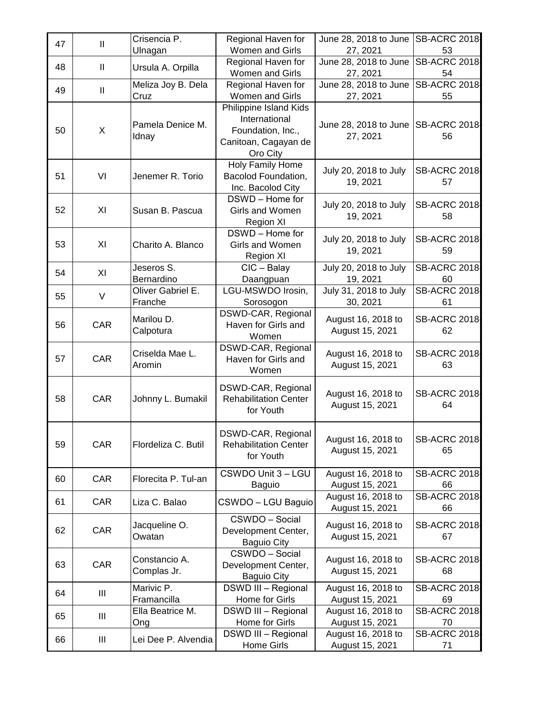| 47 | $\mathbf{II}$  | Crisencia P.                 | Regional Haven for                                                                               | June 28, 2018 to June                 | <b>SB-ACRC 2018</b>       |
|----|----------------|------------------------------|--------------------------------------------------------------------------------------------------|---------------------------------------|---------------------------|
|    |                | Ulnagan                      | Women and Girls                                                                                  | 27, 2021                              | 53                        |
| 48 | $\mathbf{II}$  | Ursula A. Orpilla            | Regional Haven for<br>Women and Girls                                                            | June 28, 2018 to June<br>27, 2021     | <b>SB-ACRC 2018</b><br>54 |
|    |                | Meliza Joy B. Dela           | Regional Haven for                                                                               | June 28, 2018 to June                 | <b>SB-ACRC 2018</b>       |
| 49 | $\mathbf{II}$  | Cruz                         | Women and Girls                                                                                  | 27, 2021                              | 55                        |
| 50 | X              | Pamela Denice M.<br>Idnay    | Philippine Island Kids<br>International<br>Foundation, Inc.,<br>Canitoan, Cagayan de<br>Oro City | June 28, 2018 to June<br>27, 2021     | <b>SB-ACRC 2018</b><br>56 |
| 51 | VI             | Jenemer R. Torio             | Holy Family Home<br>Bacolod Foundation,<br>Inc. Bacolod City                                     | July 20, 2018 to July<br>19, 2021     | <b>SB-ACRC 2018</b><br>57 |
| 52 | XI             | Susan B. Pascua              | DSWD - Home for<br>Girls and Women<br>Region XI                                                  | July 20, 2018 to July<br>19, 2021     | <b>SB-ACRC 2018</b><br>58 |
| 53 | XI             | Charito A. Blanco            | DSWD - Home for<br>Girls and Women<br>Region XI                                                  | July 20, 2018 to July<br>19, 2021     | <b>SB-ACRC 2018</b><br>59 |
| 54 | XI             | Jeseros S.<br>Bernardino     | $ClC - Balay$<br>Daangpuan                                                                       | July 20, 2018 to July<br>19, 2021     | <b>SB-ACRC 2018</b><br>60 |
| 55 | $\vee$         | Oliver Gabriel E.<br>Franche | LGU-MSWDO Irosin,<br>Sorosogon                                                                   | July 31, 2018 to July<br>30, 2021     | <b>SB-ACRC 2018</b><br>61 |
| 56 | CAR            | Marilou D.<br>Calpotura      | DSWD-CAR, Regional<br>Haven for Girls and<br>Women                                               | August 16, 2018 to<br>August 15, 2021 | <b>SB-ACRC 2018</b><br>62 |
| 57 | CAR            | Criselda Mae L.<br>Aromin    | DSWD-CAR, Regional<br>Haven for Girls and<br>Women                                               | August 16, 2018 to<br>August 15, 2021 | <b>SB-ACRC 2018</b><br>63 |
| 58 | CAR            | Johnny L. Bumakil            | DSWD-CAR, Regional<br><b>Rehabilitation Center</b><br>for Youth                                  | August 16, 2018 to<br>August 15, 2021 | <b>SB-ACRC 2018</b><br>64 |
| 59 | CAR            | Flordeliza C. Butil          | DSWD-CAR, Regional<br><b>Rehabilitation Center</b><br>for Youth                                  | August 16, 2018 to<br>August 15, 2021 | <b>SB-ACRC 2018</b><br>65 |
| 60 | CAR            | Florecita P. Tul-an          | CSWDO Unit 3 - LGU<br>Baguio                                                                     | August 16, 2018 to<br>August 15, 2021 | <b>SB-ACRC 2018</b><br>66 |
| 61 | CAR            | Liza C. Balao                | CSWDO - LGU Baguio                                                                               | August 16, 2018 to<br>August 15, 2021 | <b>SB-ACRC 2018</b><br>66 |
| 62 | CAR            | Jacqueline O.<br>Owatan      | CSWDO - Social<br>Development Center,<br><b>Baguio City</b>                                      | August 16, 2018 to<br>August 15, 2021 | <b>SB-ACRC 2018</b><br>67 |
| 63 | CAR            | Constancio A.<br>Complas Jr. | CSWDO - Social<br>Development Center,<br><b>Baguio City</b>                                      | August 16, 2018 to<br>August 15, 2021 | <b>SB-ACRC 2018</b><br>68 |
| 64 | Ш              | Marivic P.<br>Framancilla    | DSWD III - Regional<br>Home for Girls                                                            | August 16, 2018 to<br>August 15, 2021 | <b>SB-ACRC 2018</b><br>69 |
| 65 | Ш              | Ella Beatrice M.<br>Ong      | DSWD III - Regional<br>Home for Girls                                                            | August 16, 2018 to<br>August 15, 2021 | <b>SB-ACRC 2018</b><br>70 |
| 66 | $\mathbf{III}$ | Lei Dee P. Alvendia          | DSWD III - Regional<br>Home Girls                                                                | August 16, 2018 to<br>August 15, 2021 | <b>SB-ACRC 2018</b><br>71 |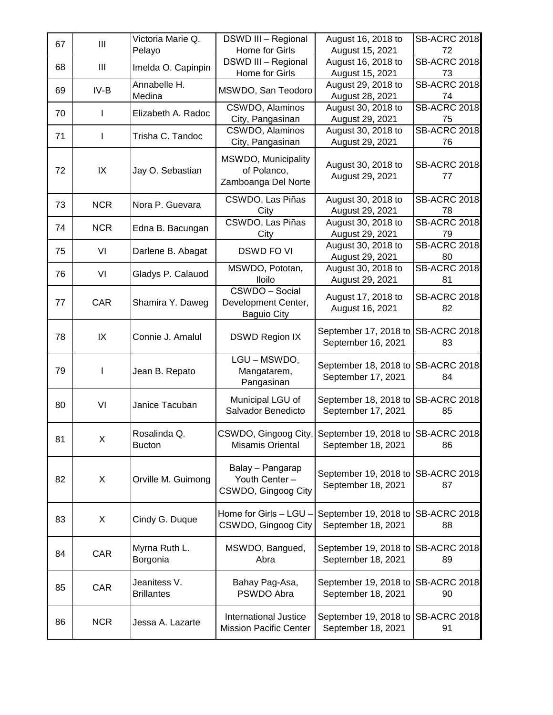| 67 | Ш              | Victoria Marie Q.<br>Pelayo       | <b>DSWD III - Regional</b><br>Home for Girls                | August 16, 2018 to<br>August 15, 2021                                         | <b>SB-ACRC 2018</b><br>72 |
|----|----------------|-----------------------------------|-------------------------------------------------------------|-------------------------------------------------------------------------------|---------------------------|
| 68 | $\mathbf{III}$ | Imelda O. Capinpin                | <b>DSWD III - Regional</b><br>Home for Girls                | August 16, 2018 to<br>August 15, 2021                                         | <b>SB-ACRC 2018</b><br>73 |
| 69 | $IV-B$         | Annabelle H.<br>Medina            | MSWDO, San Teodoro                                          | August 29, 2018 to<br>August 28, 2021                                         | <b>SB-ACRC 2018</b><br>74 |
| 70 | I              | Elizabeth A. Radoc                | CSWDO, Alaminos<br>City, Pangasinan                         | August 30, 2018 to<br>August 29, 2021                                         | <b>SB-ACRC 2018</b><br>75 |
| 71 | I              | Trisha C. Tandoc                  | CSWDO, Alaminos<br>City, Pangasinan                         | August 30, 2018 to<br>August 29, 2021                                         | <b>SB-ACRC 2018</b><br>76 |
| 72 | IX             | Jay O. Sebastian                  | MSWDO, Municipality<br>of Polanco,<br>Zamboanga Del Norte   | August 30, 2018 to<br>August 29, 2021                                         | <b>SB-ACRC 2018</b><br>77 |
| 73 | <b>NCR</b>     | Nora P. Guevara                   | CSWDO, Las Piñas<br>City                                    | August 30, 2018 to<br>August 29, 2021                                         | <b>SB-ACRC 2018</b><br>78 |
| 74 | <b>NCR</b>     | Edna B. Bacungan                  | CSWDO, Las Piñas<br>City                                    | August 30, 2018 to<br>August 29, 2021                                         | <b>SB-ACRC 2018</b><br>79 |
| 75 | VI             | Darlene B. Abagat                 | <b>DSWD FO VI</b>                                           | August 30, 2018 to<br>August 29, 2021                                         | <b>SB-ACRC 2018</b><br>80 |
| 76 | VI             | Gladys P. Calauod                 | MSWDO, Pototan,<br><b>Iloilo</b>                            | August 30, 2018 to<br>August 29, 2021                                         | <b>SB-ACRC 2018</b><br>81 |
| 77 | CAR            | Shamira Y. Daweg                  | CSWDO - Social<br>Development Center,<br><b>Baguio City</b> | August 17, 2018 to<br>August 16, 2021                                         | <b>SB-ACRC 2018</b><br>82 |
| 78 | IX             | Connie J. Amalul                  | <b>DSWD Region IX</b>                                       | September 17, 2018 to<br>September 16, 2021                                   | <b>SB-ACRC 2018</b><br>83 |
| 79 | ı              | Jean B. Repato                    | LGU - MSWDO,<br>Mangatarem,<br>Pangasinan                   | September 18, 2018 to<br>September 17, 2021                                   | SB-ACRC 2018<br>84        |
| 80 | VI             | Janice Tacuban                    | Municipal LGU of<br>Salvador Benedicto                      | September 18, 2018 to SB-ACRC 2018<br>September 17, 2021                      | 85                        |
| 81 | $\mathsf X$    | Rosalinda Q.<br><b>Bucton</b>     | Misamis Oriental                                            | CSWDO, Gingoog City, September 19, 2018 to SB-ACRC 2018<br>September 18, 2021 | 86                        |
| 82 | Χ              | Orville M. Guimong                | Balay - Pangarap<br>Youth Center -<br>CSWDO, Gingoog City   | September 19, 2018 to<br>September 18, 2021                                   | SB-ACRC 2018<br>87        |
| 83 | X              | Cindy G. Duque                    | Home for Girls - LGU -<br>CSWDO, Gingoog City               | September 19, 2018 to<br>September 18, 2021                                   | <b>SB-ACRC 2018</b><br>88 |
| 84 | CAR            | Myrna Ruth L.<br>Borgonia         | MSWDO, Bangued,<br>Abra                                     | September 19, 2018 to<br>September 18, 2021                                   | <b>SB-ACRC 2018</b><br>89 |
| 85 | CAR            | Jeanitess V.<br><b>Brillantes</b> | Bahay Pag-Asa,<br>PSWDO Abra                                | September 19, 2018 to<br>September 18, 2021                                   | <b>SB-ACRC 2018</b><br>90 |
| 86 | <b>NCR</b>     | Jessa A. Lazarte                  | International Justice<br><b>Mission Pacific Center</b>      | September 19, 2018 to<br>September 18, 2021                                   | <b>SB-ACRC 2018</b><br>91 |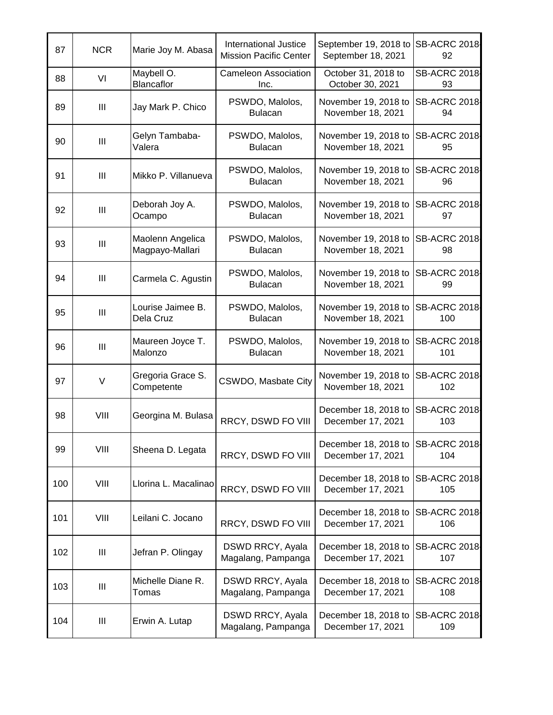| 87  | <b>NCR</b>     | Marie Joy M. Abasa                  | <b>International Justice</b><br><b>Mission Pacific Center</b> | September 19, 2018 to<br>September 18, 2021 | <b>SB-ACRC 2018</b><br>92  |
|-----|----------------|-------------------------------------|---------------------------------------------------------------|---------------------------------------------|----------------------------|
| 88  | VI             | Maybell O.<br>Blancaflor            | <b>Cameleon Association</b><br>Inc.                           | October 31, 2018 to<br>October 30, 2021     | <b>SB-ACRC 2018</b><br>93  |
| 89  | Ш              | Jay Mark P. Chico                   | PSWDO, Malolos,<br><b>Bulacan</b>                             | November 19, 2018 to<br>November 18, 2021   | <b>SB-ACRC 2018</b><br>94  |
| 90  | Ш              | Gelyn Tambaba-<br>Valera            | PSWDO, Malolos,<br><b>Bulacan</b>                             | November 19, 2018 to<br>November 18, 2021   | <b>SB-ACRC 2018</b><br>95  |
| 91  | $\mathbf{III}$ | Mikko P. Villanueva                 | PSWDO, Malolos,<br><b>Bulacan</b>                             | November 19, 2018 to<br>November 18, 2021   | <b>SB-ACRC 2018</b><br>96  |
| 92  | $\mathbf{III}$ | Deborah Joy A.<br>Ocampo            | PSWDO, Malolos,<br><b>Bulacan</b>                             | November 19, 2018 to<br>November 18, 2021   | <b>SB-ACRC 2018</b><br>97  |
| 93  | Ш              | Maolenn Angelica<br>Magpayo-Mallari | PSWDO, Malolos,<br><b>Bulacan</b>                             | November 19, 2018 to<br>November 18, 2021   | <b>SB-ACRC 2018</b><br>98  |
| 94  | $\mathbf{III}$ | Carmela C. Agustin                  | PSWDO, Malolos,<br><b>Bulacan</b>                             | November 19, 2018 to<br>November 18, 2021   | <b>SB-ACRC 2018</b><br>99  |
| 95  | Ш              | Lourise Jaimee B.<br>Dela Cruz      | PSWDO, Malolos,<br><b>Bulacan</b>                             | November 19, 2018 to<br>November 18, 2021   | <b>SB-ACRC 2018</b><br>100 |
| 96  | Ш              | Maureen Joyce T.<br>Malonzo         | PSWDO, Malolos,<br><b>Bulacan</b>                             | November 19, 2018 to<br>November 18, 2021   | <b>SB-ACRC 2018</b><br>101 |
| 97  | V              | Gregoria Grace S.<br>Competente     | CSWDO, Masbate City                                           | November 19, 2018 to<br>November 18, 2021   | <b>SB-ACRC 2018</b><br>102 |
| 98  | VIII           | Georgina M. Bulasa                  | RRCY, DSWD FO VIII                                            | December 18, 2018 to<br>December 17, 2021   | <b>SB-ACRC 2018</b><br>103 |
| 99  | VIII           | Sheena D. Legata                    | RRCY, DSWD FO VIII                                            | December 18, 2018 to<br>December 17, 2021   | <b>SB-ACRC 2018</b><br>104 |
| 100 | VIII           | Llorina L. Macalinao                | RRCY, DSWD FO VIII                                            | December 18, 2018 to<br>December 17, 2021   | <b>SB-ACRC 2018</b><br>105 |
| 101 | VIII           | Leilani C. Jocano                   | RRCY, DSWD FO VIII                                            | December 18, 2018 to<br>December 17, 2021   | <b>SB-ACRC 2018</b><br>106 |
| 102 | Ш              | Jefran P. Olingay                   | DSWD RRCY, Ayala<br>Magalang, Pampanga                        | December 18, 2018 to<br>December 17, 2021   | <b>SB-ACRC 2018</b><br>107 |
| 103 | Ш              | Michelle Diane R.<br>Tomas          | DSWD RRCY, Ayala<br>Magalang, Pampanga                        | December 18, 2018 to<br>December 17, 2021   | <b>SB-ACRC 2018</b><br>108 |
| 104 | Ш              | Erwin A. Lutap                      | DSWD RRCY, Ayala<br>Magalang, Pampanga                        | December 18, 2018 to<br>December 17, 2021   | <b>SB-ACRC 2018</b><br>109 |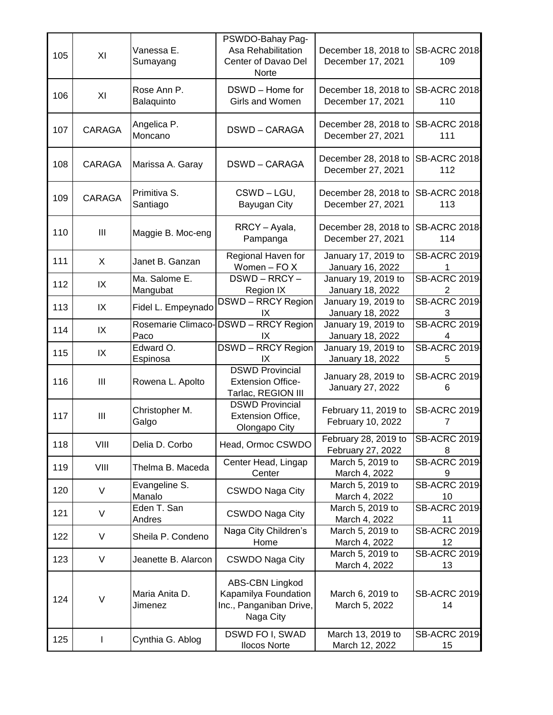| 105 | XI                                 | Vanessa E.<br>Sumayang     | PSWDO-Bahay Pag-<br>Asa Rehabilitation<br>Center of Davao Del<br>Norte          | December 18, 2018 to SB-ACRC 2018<br>December 17, 2021 | 109                        |
|-----|------------------------------------|----------------------------|---------------------------------------------------------------------------------|--------------------------------------------------------|----------------------------|
| 106 | XI                                 | Rose Ann P.<br>Balaquinto  | DSWD - Home for<br>Girls and Women                                              | December 18, 2018 to<br>December 17, 2021              | <b>SB-ACRC 2018</b><br>110 |
| 107 | CARAGA                             | Angelica P.<br>Moncano     | <b>DSWD-CARAGA</b>                                                              | December 28, 2018 to<br>December 27, 2021              | <b>SB-ACRC 2018</b><br>111 |
| 108 | <b>CARAGA</b>                      | Marissa A. Garay           | <b>DSWD-CARAGA</b>                                                              | December 28, 2018 to<br>December 27, 2021              | <b>SB-ACRC 2018</b><br>112 |
| 109 | CARAGA                             | Primitiva S.<br>Santiago   | CSWD-LGU,<br>Bayugan City                                                       | December 28, 2018 to<br>December 27, 2021              | <b>SB-ACRC 2018</b><br>113 |
| 110 | $\ensuremath{\mathsf{III}}\xspace$ | Maggie B. Moc-eng          | RRCY - Ayala,<br>Pampanga                                                       | December 28, 2018 to<br>December 27, 2021              | <b>SB-ACRC 2018</b><br>114 |
| 111 | X                                  | Janet B. Ganzan            | Regional Haven for<br>Women - FO X                                              | January 17, 2019 to<br>January 16, 2022                | <b>SB-ACRC 2019</b>        |
| 112 | IX                                 | Ma. Salome E.<br>Mangubat  | DSWD-RRCY-<br>Region IX                                                         | January 19, 2019 to<br>January 18, 2022                | <b>SB-ACRC 2019</b>        |
| 113 | IX                                 | Fidel L. Empeynado         | <b>DSWD-RRCY Region</b><br>IX                                                   | January 19, 2019 to<br>January 18, 2022                | <b>SB-ACRC 2019</b><br>3   |
| 114 | IX                                 | Rosemarie Climaco-<br>Paco | <b>DSWD-RRCY Region</b><br>IX                                                   | January 19, 2019 to<br>January 18, 2022                | <b>SB-ACRC 2019</b>        |
| 115 | IX                                 | Edward O.<br>Espinosa      | <b>DSWD-RRCY Region</b><br>IX                                                   | January 19, 2019 to<br>January 18, 2022                | <b>SB-ACRC 2019</b><br>5   |
| 116 | $\mathop{\rm III}$                 | Rowena L. Apolto           | <b>DSWD Provincial</b><br><b>Extension Office-</b><br>Tarlac, REGION III        | January 28, 2019 to<br>January 27, 2022                | <b>SB-ACRC 2019</b><br>6   |
| 117 | Ш                                  | Christopher M.<br>Galgo    | <b>DSWD Provincial</b><br>Extension Office,<br>Olongapo City                    | February 11, 2019 to<br>February 10, 2022              | <b>SB-ACRC 2019</b><br>7   |
| 118 | VIII                               | Delia D. Corbo             | Head, Ormoc CSWDO                                                               | February 28, 2019 to<br>February 27, 2022              | <b>SB-ACRC 2019</b><br>8   |
| 119 | VIII                               | Thelma B. Maceda           | Center Head, Lingap<br>Center                                                   | March 5, 2019 to<br>March 4, 2022                      | <b>SB-ACRC 2019</b><br>9   |
| 120 | V                                  | Evangeline S.<br>Manalo    | <b>CSWDO Naga City</b>                                                          | March 5, 2019 to<br>March 4, 2022                      | <b>SB-ACRC 2019</b><br>10  |
| 121 | V                                  | Eden T. San<br>Andres      | <b>CSWDO Naga City</b>                                                          | March 5, 2019 to<br>March 4, 2022                      | <b>SB-ACRC 2019</b><br>11  |
| 122 | $\vee$                             | Sheila P. Condeno          | Naga City Children's<br>Home                                                    | March 5, 2019 to<br>March 4, 2022                      | <b>SB-ACRC 2019</b><br>12  |
| 123 | V                                  | Jeanette B. Alarcon        | <b>CSWDO Naga City</b>                                                          | March 5, 2019 to<br>March 4, 2022                      | <b>SB-ACRC 2019</b><br>13  |
| 124 | V                                  | Maria Anita D.<br>Jimenez  | ABS-CBN Lingkod<br>Kapamilya Foundation<br>Inc., Panganiban Drive,<br>Naga City | March 6, 2019 to<br>March 5, 2022                      | <b>SB-ACRC 2019</b><br>14  |
| 125 | $\mathsf{l}$                       | Cynthia G. Ablog           | DSWD FO I, SWAD<br><b>Ilocos Norte</b>                                          | March 13, 2019 to<br>March 12, 2022                    | <b>SB-ACRC 2019</b><br>15  |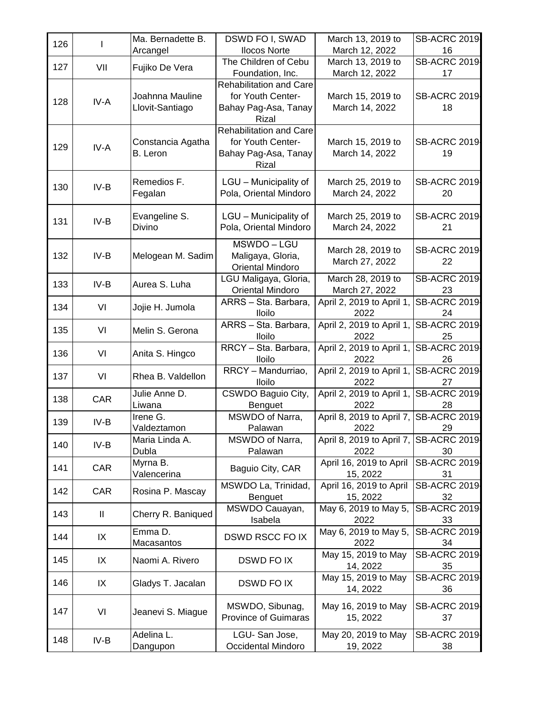| 126 |              | Ma. Bernadette B.  | DSWD FO I, SWAD                                     | March 13, 2019 to                      | <b>SB-ACRC 2019</b>       |
|-----|--------------|--------------------|-----------------------------------------------------|----------------------------------------|---------------------------|
|     |              | Arcangel           | <b>Ilocos Norte</b>                                 | March 12, 2022                         | 16                        |
| 127 | VII          | Fujiko De Vera     | The Children of Cebu                                | March 13, 2019 to                      | <b>SB-ACRC 2019</b>       |
|     |              |                    | Foundation, Inc.                                    | March 12, 2022                         | 17                        |
|     |              |                    | <b>Rehabilitation and Care</b><br>for Youth Center- |                                        |                           |
| 128 | IV-A         | Joahnna Mauline    |                                                     | March 15, 2019 to                      | <b>SB-ACRC 2019</b>       |
|     |              | Llovit-Santiago    | Bahay Pag-Asa, Tanay<br><b>Rizal</b>                | March 14, 2022                         | 18                        |
|     |              |                    | <b>Rehabilitation and Care</b>                      |                                        |                           |
|     |              | Constancia Agatha  | for Youth Center-                                   | March 15, 2019 to                      | <b>SB-ACRC 2019</b>       |
| 129 | IV-A         | B. Leron           | Bahay Pag-Asa, Tanay                                | March 14, 2022                         | 19                        |
|     |              |                    | Rizal                                               |                                        |                           |
|     |              | Remedios F.        | LGU - Municipality of                               | March 25, 2019 to                      | <b>SB-ACRC 2019</b>       |
| 130 | $IV-B$       | Fegalan            | Pola, Oriental Mindoro                              | March 24, 2022                         | 20                        |
|     |              |                    |                                                     |                                        |                           |
|     |              | Evangeline S.      | LGU - Municipality of                               | March 25, 2019 to                      | <b>SB-ACRC 2019</b>       |
| 131 | $IV-B$       | Divino             | Pola, Oriental Mindoro                              | March 24, 2022                         | 21                        |
|     |              |                    | MSWDO-LGU                                           |                                        |                           |
| 132 | $IV-B$       | Melogean M. Sadim  | Maligaya, Gloria,                                   | March 28, 2019 to                      | <b>SB-ACRC 2019</b>       |
|     |              |                    | <b>Oriental Mindoro</b>                             | March 27, 2022                         | 22                        |
|     |              |                    | LGU Maligaya, Gloria,                               | March 28, 2019 to                      | <b>SB-ACRC 2019</b>       |
| 133 | $IV-B$       | Aurea S. Luha      | <b>Oriental Mindoro</b>                             | March 27, 2022                         | 23                        |
| 134 | VI           | Jojie H. Jumola    | ARRS - Sta. Barbara,                                | April 2, 2019 to April 1,              | <b>SB-ACRC 2019</b>       |
|     |              |                    | <b>Iloilo</b>                                       | 2022                                   | 24                        |
| 135 | VI           | Melin S. Gerona    | ARRS - Sta. Barbara,                                | April 2, 2019 to April 1,              | <b>SB-ACRC 2019</b>       |
|     |              |                    | <b>Iloilo</b>                                       | 2022                                   | 25                        |
| 136 | VI           | Anita S. Hingco    | RRCY - Sta. Barbara,<br><b>Iloilo</b>               | April 2, 2019 to April 1,<br>2022      | <b>SB-ACRC 2019</b><br>26 |
|     |              |                    | RRCY - Mandurriao,                                  | April 2, 2019 to April 1,              | <b>SB-ACRC 2019</b>       |
| 137 | VI           | Rhea B. Valdellon  | Iloilo                                              | 2022                                   | 27                        |
|     |              | Julie Anne D.      | CSWDO Baguio City,                                  | April 2, 2019 to April 1,              | <b>SB-ACRC 2019</b>       |
| 138 | CAR          | Liwana             | <b>Benguet</b>                                      | 2022                                   | 28                        |
| 139 | $IV-B$       | Irene G.           | MSWDO of Narra,                                     | April 8, 2019 to April 7, SB-ACRC 2019 |                           |
|     |              | Valdeztamon        | Palawan                                             | 2022                                   | 29                        |
| 140 | $IV-B$       | Maria Linda A.     | MSWDO of Narra,                                     | April 8, 2019 to April 7, SB-ACRC 2019 |                           |
|     |              | Dubla              | Palawan                                             | 2022                                   | 30                        |
| 141 | CAR          | Myrna B.           | Baguio City, CAR                                    | April 16, 2019 to April                | <b>SB-ACRC 2019</b>       |
|     |              | Valencerina        | MSWDO La, Trinidad,                                 | 15, 2022<br>April 16, 2019 to April    | 31<br><b>SB-ACRC 2019</b> |
| 142 | CAR          | Rosina P. Mascay   | Benguet                                             | 15, 2022                               | 32                        |
|     |              |                    | MSWDO Cauayan,                                      | May 6, 2019 to May 5,                  | <b>SB-ACRC 2019</b>       |
| 143 | $\mathbf{I}$ | Cherry R. Baniqued | Isabela                                             | 2022                                   | 33                        |
| 144 | IX           | Emma D.            | <b>DSWD RSCC FO IX</b>                              | May 6, 2019 to May 5,                  | <b>SB-ACRC 2019</b>       |
|     |              | Macasantos         |                                                     | 2022                                   | 34                        |
| 145 | IX           | Naomi A. Rivero    | <b>DSWD FOIX</b>                                    | May 15, 2019 to May                    | <b>SB-ACRC 2019</b>       |
|     |              |                    |                                                     | 14, 2022                               | 35                        |
| 146 | IX           | Gladys T. Jacalan  | DSWD FO IX                                          | May 15, 2019 to May                    | <b>SB-ACRC 2019</b>       |
|     |              |                    |                                                     | 14, 2022                               | 36                        |
| 147 | VI           | Jeanevi S. Miague  | MSWDO, Sibunag,                                     | May 16, 2019 to May                    | <b>SB-ACRC 2019</b>       |
|     |              |                    | <b>Province of Guimaras</b>                         | 15, 2022                               | 37                        |
|     |              | Adelina L.         | LGU-San Jose,                                       | May 20, 2019 to May                    | <b>SB-ACRC 2019</b>       |
| 148 | IV-B         | Dangupon           | Occidental Mindoro                                  | 19, 2022                               | 38                        |
|     |              |                    |                                                     |                                        |                           |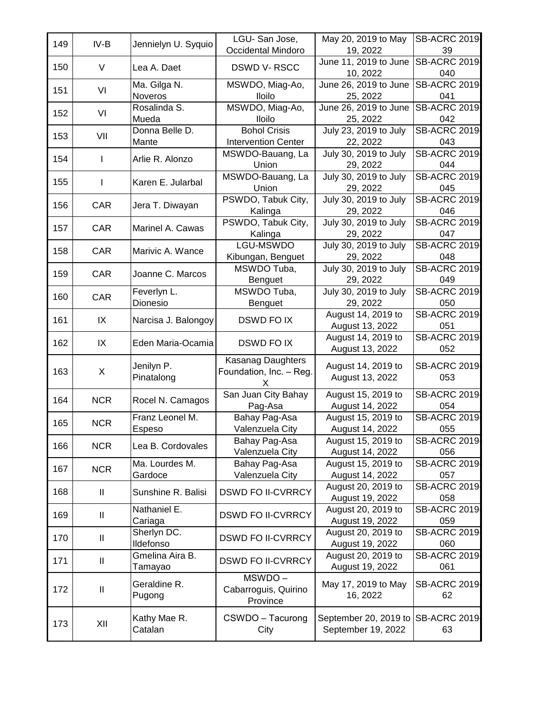| 149 | IV-B         | Jennielyn U. Syquio     | LGU-San Jose,<br>Occidental Mindoro | May 20, 2019 to May<br>19, 2022             | <b>SB-ACRC 2019</b><br>39  |
|-----|--------------|-------------------------|-------------------------------------|---------------------------------------------|----------------------------|
|     |              |                         |                                     | June 11, 2019 to June                       | <b>SB-ACRC 2019</b>        |
| 150 | V            | Lea A. Daet             | <b>DSWD V-RSCC</b>                  | 10, 2022                                    | 040                        |
| 151 | VI           | Ma. Gilga N.            | MSWDO, Miag-Ao,                     | June 26, 2019 to June                       | <b>SB-ACRC 2019</b>        |
|     |              | Noveros                 | <b>Iloilo</b>                       | 25, 2022                                    | 041                        |
| 152 | VI           | Rosalinda S.            | MSWDO, Miag-Ao,                     | June 26, 2019 to June                       | <b>SB-ACRC 2019</b>        |
|     |              | Mueda                   | <b>Iloilo</b>                       | 25, 2022                                    | 042                        |
| 153 | VII          | Donna Belle D.          | <b>Bohol Crisis</b>                 | July 23, 2019 to July                       | <b>SB-ACRC 2019</b>        |
|     |              | Mante                   | <b>Intervention Center</b>          | 22, 2022                                    | 043                        |
| 154 | ı            | Arlie R. Alonzo         | MSWDO-Bauang, La                    | July 30, 2019 to July                       | <b>SB-ACRC 2019</b>        |
|     |              |                         | Union                               | 29, 2022                                    | 044                        |
| 155 | L            | Karen E. Jularbal       | MSWDO-Bauang, La                    | July 30, 2019 to July                       | <b>SB-ACRC 2019</b>        |
|     |              |                         | Union                               | 29, 2022                                    | 045                        |
| 156 | CAR          | Jera T. Diwayan         | PSWDO, Tabuk City,                  | July 30, 2019 to July                       | <b>SB-ACRC 2019</b>        |
|     |              |                         | Kalinga<br>PSWDO, Tabuk City,       | 29, 2022<br>July 30, 2019 to July           | 046<br><b>SB-ACRC 2019</b> |
| 157 | <b>CAR</b>   | Marinel A. Cawas        | Kalinga                             | 29, 2022                                    | 047                        |
|     |              |                         | LGU-MSWDO                           | July 30, 2019 to July                       | <b>SB-ACRC 2019</b>        |
| 158 | CAR          | Marivic A. Wance        | Kibungan, Benguet                   | 29, 2022                                    | 048                        |
|     |              |                         | MSWDO Tuba,                         | July 30, 2019 to July                       | <b>SB-ACRC 2019</b>        |
| 159 | <b>CAR</b>   | Joanne C. Marcos        | Benguet                             | 29, 2022                                    | 049                        |
|     |              | Feverlyn L.             | MSWDO Tuba,                         | July 30, 2019 to July                       | <b>SB-ACRC 2019</b>        |
| 160 | <b>CAR</b>   | Dionesio                | <b>Benguet</b>                      | 29, 2022                                    | 050                        |
|     |              |                         |                                     | August 14, 2019 to                          | <b>SB-ACRC 2019</b>        |
| 161 | IX           | Narcisa J. Balongoy     | <b>DSWD FO IX</b>                   | August 13, 2022                             | 051                        |
| 162 | IX           | Eden Maria-Ocamia       | <b>DSWD FOIX</b>                    | August 14, 2019 to                          | <b>SB-ACRC 2019</b>        |
|     |              |                         |                                     | August 13, 2022                             | 052                        |
|     |              | Jenilyn P.              | Kasanag Daughters                   | August 14, 2019 to                          | <b>SB-ACRC 2019</b>        |
| 163 | X            | Pinatalong              | Foundation, Inc. - Reg.             | August 13, 2022                             | 053                        |
|     |              |                         | x                                   |                                             |                            |
| 164 | <b>NCR</b>   | Rocel N. Camagos        | San Juan City Bahay                 | August 15, 2019 to                          | <b>SB-ACRC 2019</b>        |
|     |              |                         | Pag-Asa                             | August 14, 2022                             | 054                        |
| 165 | <b>NCR</b>   | Franz Leonel M.         | Bahay Pag-Asa                       | August 15, 2019 to                          | <b>SB-ACRC 2019</b>        |
|     |              | Espeso                  | Valenzuela City                     | August 14, 2022                             | 055<br><b>SB-ACRC 2019</b> |
| 166 | <b>NCR</b>   | Lea B. Cordovales       | Bahay Pag-Asa<br>Valenzuela City    | August 15, 2019 to<br>August 14, 2022       | 056                        |
|     |              | Ma. Lourdes M.          | Bahay Pag-Asa                       | August 15, 2019 to                          | <b>SB-ACRC 2019</b>        |
| 167 | <b>NCR</b>   | Gardoce                 | Valenzuela City                     | August 14, 2022                             | 057                        |
|     |              |                         |                                     | August 20, 2019 to                          | <b>SB-ACRC 2019</b>        |
| 168 | Ш            | Sunshine R. Balisi      | <b>DSWD FO II-CVRRCY</b>            | August 19, 2022                             | 058                        |
|     |              | Nathaniel E.            |                                     | August 20, 2019 to                          | <b>SB-ACRC 2019</b>        |
| 169 | $\mathbf{I}$ | Cariaga                 | <b>DSWD FO II-CVRRCY</b>            | August 19, 2022                             | 059                        |
| 170 | $\mathbf{I}$ | Sherlyn DC.             | <b>DSWD FO II-CVRRCY</b>            | August 20, 2019 to                          | <b>SB-ACRC 2019</b>        |
|     |              | Ildefonso               |                                     | August 19, 2022                             | 060                        |
| 171 | $\mathbf{I}$ | Gmelina Aira B.         | <b>DSWD FO II-CVRRCY</b>            | August 20, 2019 to                          | <b>SB-ACRC 2019</b>        |
|     |              | Tamayao                 |                                     | August 19, 2022                             | 061                        |
|     |              | Geraldine R.            | MSWDO-                              | May 17, 2019 to May                         | <b>SB-ACRC 2019</b>        |
|     |              |                         |                                     |                                             |                            |
| 172 | $\mathbf{I}$ |                         | Cabarroguis, Quirino                | 16, 2022                                    | 62                         |
|     |              | Pugong                  | Province                            |                                             |                            |
| 173 | XII          | Kathy Mae R.<br>Catalan | CSWDO - Tacurong<br>City            | September 20, 2019 to<br>September 19, 2022 | SB-ACRC 2019<br>63         |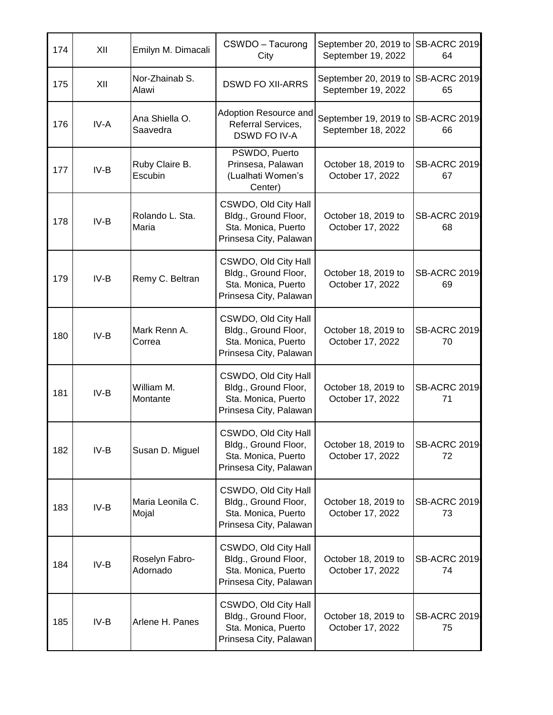| 174 | XII    | Emilyn M. Dimacali         | CSWDO - Tacurong<br>City                                                                      | September 20, 2019 to SB-ACRC 2019<br>September 19, 2022 | 64                        |
|-----|--------|----------------------------|-----------------------------------------------------------------------------------------------|----------------------------------------------------------|---------------------------|
| 175 | XII    | Nor-Zhainab S.<br>Alawi    | <b>DSWD FO XII-ARRS</b>                                                                       | September 20, 2019 to SB-ACRC 2019<br>September 19, 2022 | 65                        |
| 176 | IV-A   | Ana Shiella O.<br>Saavedra | Adoption Resource and<br>Referral Services,<br>DSWD FO IV-A                                   | September 19, 2019 to SB-ACRC 2019<br>September 18, 2022 | 66                        |
| 177 | $IV-B$ | Ruby Claire B.<br>Escubin  | PSWDO, Puerto<br>Prinsesa, Palawan<br>(Lualhati Women's<br>Center)                            | October 18, 2019 to<br>October 17, 2022                  | <b>SB-ACRC 2019</b><br>67 |
| 178 | $IV-B$ | Rolando L. Sta.<br>Maria   | CSWDO, Old City Hall<br>Bldg., Ground Floor,<br>Sta. Monica, Puerto<br>Prinsesa City, Palawan | October 18, 2019 to<br>October 17, 2022                  | <b>SB-ACRC 2019</b><br>68 |
| 179 | $IV-B$ | Remy C. Beltran            | CSWDO, Old City Hall<br>Bldg., Ground Floor,<br>Sta. Monica, Puerto<br>Prinsesa City, Palawan | October 18, 2019 to<br>October 17, 2022                  | <b>SB-ACRC 2019</b><br>69 |
| 180 | $IV-B$ | Mark Renn A.<br>Correa     | CSWDO, Old City Hall<br>Bldg., Ground Floor,<br>Sta. Monica, Puerto<br>Prinsesa City, Palawan | October 18, 2019 to<br>October 17, 2022                  | <b>SB-ACRC 2019</b><br>70 |
| 181 | $IV-B$ | William M.<br>Montante     | CSWDO, Old City Hall<br>Bldg., Ground Floor,<br>Sta. Monica, Puerto<br>Prinsesa City, Palawan | October 18, 2019 to<br>October 17, 2022                  | <b>SB-ACRC 2019</b><br>71 |
| 182 | $IV-B$ | Susan D. Miguel            | CSWDO, Old City Hall<br>Bldg., Ground Floor,<br>Sta. Monica, Puerto<br>Prinsesa City, Palawan | October 18, 2019 to<br>October 17, 2022                  | <b>SB-ACRC 2019</b><br>72 |
| 183 | $IV-B$ | Maria Leonila C.<br>Mojal  | CSWDO, Old City Hall<br>Bldg., Ground Floor,<br>Sta. Monica, Puerto<br>Prinsesa City, Palawan | October 18, 2019 to<br>October 17, 2022                  | <b>SB-ACRC 2019</b><br>73 |
| 184 | $IV-B$ | Roselyn Fabro-<br>Adornado | CSWDO, Old City Hall<br>Bldg., Ground Floor,<br>Sta. Monica, Puerto<br>Prinsesa City, Palawan | October 18, 2019 to<br>October 17, 2022                  | <b>SB-ACRC 2019</b><br>74 |
| 185 | $IV-B$ | Arlene H. Panes            | CSWDO, Old City Hall<br>Bldg., Ground Floor,<br>Sta. Monica, Puerto<br>Prinsesa City, Palawan | October 18, 2019 to<br>October 17, 2022                  | <b>SB-ACRC 2019</b><br>75 |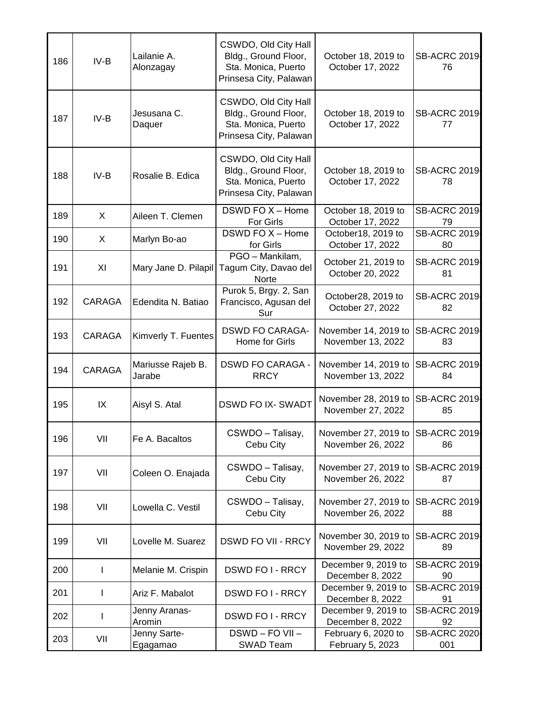| 186 | $IV-B$        | Lailanie A.<br>Alonzagay    | CSWDO, Old City Hall<br>Bldg., Ground Floor,<br>Sta. Monica, Puerto<br>Prinsesa City, Palawan | October 18, 2019 to<br>October 17, 2022                | <b>SB-ACRC 2019</b><br>76  |
|-----|---------------|-----------------------------|-----------------------------------------------------------------------------------------------|--------------------------------------------------------|----------------------------|
| 187 | $IV-B$        | Jesusana C.<br>Daquer       | CSWDO, Old City Hall<br>Bldg., Ground Floor,<br>Sta. Monica, Puerto<br>Prinsesa City, Palawan | October 18, 2019 to<br>October 17, 2022                | <b>SB-ACRC 2019</b><br>77  |
| 188 | $IV-B$        | Rosalie B. Edica            | CSWDO, Old City Hall<br>Bldg., Ground Floor,<br>Sta. Monica, Puerto<br>Prinsesa City, Palawan | October 18, 2019 to<br>October 17, 2022                | <b>SB-ACRC 2019</b><br>78  |
| 189 | X             | Aileen T. Clemen            | DSWD FO X - Home<br><b>For Girls</b>                                                          | October 18, 2019 to<br>October 17, 2022                | <b>SB-ACRC 2019</b><br>79  |
| 190 | X             | Marlyn Bo-ao                | DSWD FO $X -$ Home<br>for Girls                                                               | October18, 2019 to<br>October 17, 2022                 | <b>SB-ACRC 2019</b><br>80  |
| 191 | XI            | Mary Jane D. Pilapil        | PGO - Mankilam,<br>Tagum City, Davao del<br>Norte                                             | October 21, 2019 to<br>October 20, 2022                | <b>SB-ACRC 2019</b><br>81  |
| 192 | <b>CARAGA</b> | Edendita N. Batiao          | Purok 5, Brgy. 2, San<br>Francisco, Agusan del<br>Sur                                         | October28, 2019 to<br>October 27, 2022                 | <b>SB-ACRC 2019</b><br>82  |
| 193 | CARAGA        | Kimverly T. Fuentes         | <b>DSWD FO CARAGA-</b><br>Home for Girls                                                      | November 14, 2019 to<br>November 13, 2022              | <b>SB-ACRC 2019</b><br>83  |
| 194 | CARAGA        | Mariusse Rajeb B.<br>Jarabe | <b>DSWD FO CARAGA -</b><br><b>RRCY</b>                                                        | November 14, 2019 to<br>November 13, 2022              | <b>SB-ACRC 2019</b><br>84  |
| 195 | IX            | Aisyl S. Atal               | <b>DSWD FO IX- SWADT</b>                                                                      | November 28, 2019 to<br>November 27, 2022              | <b>SB-ACRC 2019</b><br>85  |
| 196 | VII           | Fe A. Bacaltos              | CSWDO - Talisay,<br>Cebu City                                                                 | November 27, 2019 to SB-ACRC 2019<br>November 26, 2022 | 86                         |
| 197 | VII           | Coleen O. Enajada           | CSWDO - Talisay,<br>Cebu City                                                                 | November 27, 2019 to<br>November 26, 2022              | <b>SB-ACRC 2019</b><br>87  |
| 198 | VII           | Lowella C. Vestil           | CSWDO - Talisay,<br>Cebu City                                                                 | November 27, 2019 to<br>November 26, 2022              | <b>SB-ACRC 2019</b><br>88  |
| 199 | VII           | Lovelle M. Suarez           | <b>DSWD FO VII - RRCY</b>                                                                     | November 30, 2019 to<br>November 29, 2022              | <b>SB-ACRC 2019</b><br>89  |
| 200 | $\mathsf{I}$  | Melanie M. Crispin          | <b>DSWD FOI-RRCY</b>                                                                          | December 9, 2019 to<br>December 8, 2022                | <b>SB-ACRC 2019</b><br>90  |
| 201 | T             | Ariz F. Mabalot             | <b>DSWD FOI-RRCY</b>                                                                          | December 9, 2019 to<br>December 8, 2022                | <b>SB-ACRC 2019</b><br>91  |
| 202 | I             | Jenny Aranas-<br>Aromin     | <b>DSWD FOI-RRCY</b>                                                                          | December 9, 2019 to<br>December 8, 2022                | <b>SB-ACRC 2019</b><br>92  |
| 203 | VII           | Jenny Sarte-<br>Egagamao    | DSWD-FOVII-<br>SWAD Team                                                                      | February 6, 2020 to<br>February 5, 2023                | <b>SB-ACRC 2020</b><br>001 |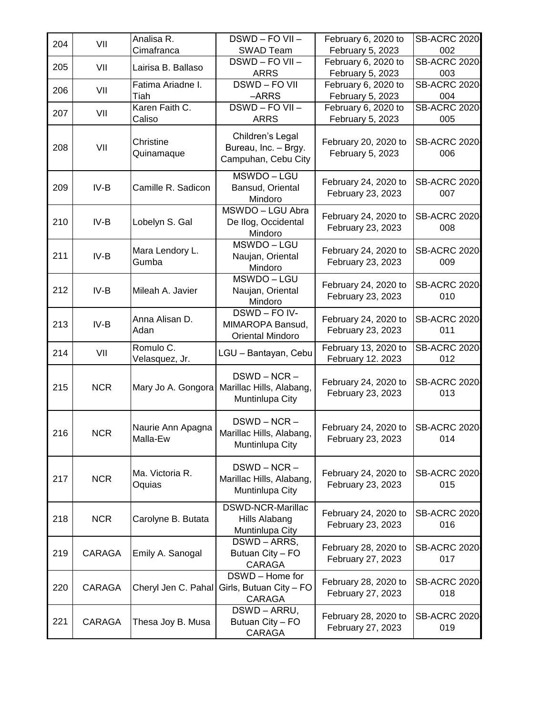| 204 | VII        | Analisa R.<br>Cimafranca      | DSWD-FOVII-<br>SWAD Team                                      | February 6, 2020 to<br>February 5, 2023   | <b>SB-ACRC 2020</b><br>002 |
|-----|------------|-------------------------------|---------------------------------------------------------------|-------------------------------------------|----------------------------|
|     |            |                               | DSWD - FO VII -                                               | February 6, 2020 to                       | <b>SB-ACRC 2020</b>        |
| 205 | VII        | Lairisa B. Ballaso            | <b>ARRS</b>                                                   | February 5, 2023                          | 003                        |
| 206 | VII        | Fatima Ariadne I.             | DSWD-FOVII                                                    | February 6, 2020 to                       | <b>SB-ACRC 2020</b>        |
|     |            | Tiah                          | -ARRS                                                         | February 5, 2023                          | 004                        |
| 207 | VII        | Karen Faith C.<br>Caliso      | DSWD-FOVII-<br><b>ARRS</b>                                    | February 6, 2020 to<br>February 5, 2023   | <b>SB-ACRC 2020</b><br>005 |
|     |            |                               |                                                               |                                           |                            |
| 208 | VII        | Christine<br>Quinamaque       | Children's Legal<br>Bureau, Inc. - Brgy.                      | February 20, 2020 to<br>February 5, 2023  | <b>SB-ACRC 2020</b><br>006 |
|     |            |                               | Campuhan, Cebu City                                           |                                           |                            |
| 209 | $IV-B$     | Camille R. Sadicon            | MSWDO-LGU<br>Bansud, Oriental<br>Mindoro                      | February 24, 2020 to<br>February 23, 2023 | <b>SB-ACRC 2020</b><br>007 |
|     |            |                               | MSWDO-LGU Abra                                                | February 24, 2020 to                      | <b>SB-ACRC 2020</b>        |
| 210 | IV-B       | Lobelyn S. Gal                | De Ilog, Occidental<br>Mindoro                                | February 23, 2023                         | 008                        |
| 211 | $IV-B$     | Mara Lendory L.<br>Gumba      | MSWDO-LGU<br>Naujan, Oriental<br>Mindoro                      | February 24, 2020 to<br>February 23, 2023 | <b>SB-ACRC 2020</b><br>009 |
|     |            |                               | MSWDO-LGU                                                     |                                           |                            |
| 212 | IV-B       | Mileah A. Javier              | Naujan, Oriental<br>Mindoro                                   | February 24, 2020 to<br>February 23, 2023 | <b>SB-ACRC 2020</b><br>010 |
|     |            |                               | DSWD-FO <sub>IV</sub> -                                       |                                           |                            |
| 213 | IV-B       | Anna Alisan D.<br>Adan        | MIMAROPA Bansud,<br>Oriental Mindoro                          | February 24, 2020 to<br>February 23, 2023 | <b>SB-ACRC 2020</b><br>011 |
| 214 | VII        | Romulo C.<br>Velasquez, Jr.   | LGU - Bantayan, Cebu                                          | February 13, 2020 to<br>February 12. 2023 | <b>SB-ACRC 2020</b><br>012 |
| 215 | <b>NCR</b> | Mary Jo A. Gongora            | $DSWD - NCR -$<br>Marillac Hills, Alabang,<br>Muntinlupa City | February 24, 2020 to<br>February 23, 2023 | <b>SB-ACRC 2020</b><br>013 |
| 216 | <b>NCR</b> | Naurie Ann Apagna<br>Malla-Ew | $DSWD - NCR -$<br>Marillac Hills, Alabang,<br>Muntinlupa City | February 24, 2020 to<br>February 23, 2023 | <b>SB-ACRC 2020</b><br>014 |
| 217 | <b>NCR</b> | Ma. Victoria R.<br>Oquias     | DSWD-NCR-<br>Marillac Hills, Alabang,<br>Muntinlupa City      | February 24, 2020 to<br>February 23, 2023 | <b>SB-ACRC 2020</b><br>015 |
| 218 | <b>NCR</b> | Carolyne B. Butata            | DSWD-NCR-Marillac<br>Hills Alabang<br>Muntinlupa City         | February 24, 2020 to<br>February 23, 2023 | <b>SB-ACRC 2020</b><br>016 |
| 219 | CARAGA     | Emily A. Sanogal              | DSWD-ARRS,<br>Butuan City - FO<br><b>CARAGA</b>               | February 28, 2020 to<br>February 27, 2023 | <b>SB-ACRC 2020</b><br>017 |
| 220 | CARAGA     | Cheryl Jen C. Pahal           | DSWD - Home for<br>Girls, Butuan City - FO<br>CARAGA          | February 28, 2020 to<br>February 27, 2023 | <b>SB-ACRC 2020</b><br>018 |
| 221 | CARAGA     | Thesa Joy B. Musa             | DSWD-ARRU,<br>Butuan City - FO<br>CARAGA                      | February 28, 2020 to<br>February 27, 2023 | <b>SB-ACRC 2020</b><br>019 |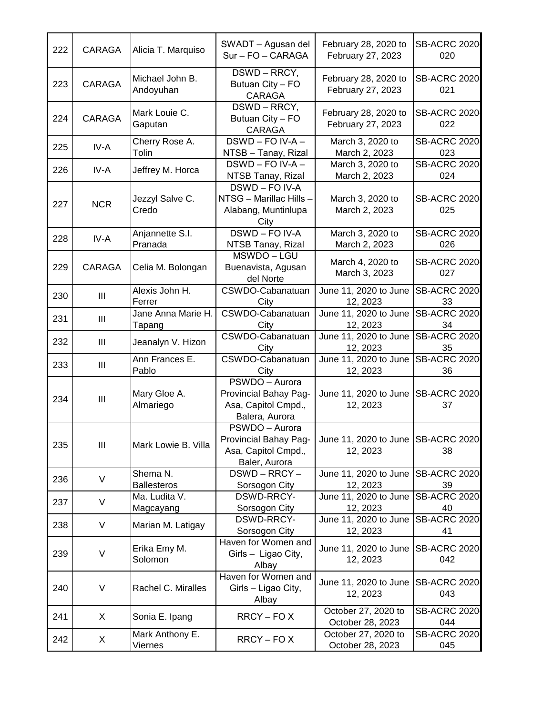| 222 | <b>CARAGA</b>      | Alicia T. Marquiso             | SWADT - Agusan del<br>Sur - FO - CARAGA                                          | February 28, 2020 to<br>February 27, 2023      | <b>SB-ACRC 2020</b><br>020 |
|-----|--------------------|--------------------------------|----------------------------------------------------------------------------------|------------------------------------------------|----------------------------|
| 223 | CARAGA             | Michael John B.<br>Andoyuhan   | DSWD-RRCY,<br>Butuan City - FO<br><b>CARAGA</b>                                  | February 28, 2020 to<br>February 27, 2023      | <b>SB-ACRC 2020</b><br>021 |
| 224 | CARAGA             | Mark Louie C.<br>Gaputan       | DSWD-RRCY,<br>Butuan City - FO<br><b>CARAGA</b>                                  | February 28, 2020 to<br>February 27, 2023      | <b>SB-ACRC 2020</b><br>022 |
| 225 | IV-A               | Cherry Rose A.<br>Tolin        | DSWD - FO IV-A -<br>NTSB - Tanay, Rizal                                          | March 3, 2020 to<br>March 2, 2023              | <b>SB-ACRC 2020</b><br>023 |
| 226 | IV-A               | Jeffrey M. Horca               | DSWD - FO IV-A -<br>NTSB Tanay, Rizal                                            | March 3, 2020 to<br>March 2, 2023              | <b>SB-ACRC 2020</b><br>024 |
| 227 | <b>NCR</b>         | Jezzyl Salve C.<br>Credo       | DSWD-FO IV-A<br>NTSG - Marillac Hills -<br>Alabang, Muntinlupa<br>City           | March 3, 2020 to<br>March 2, 2023              | <b>SB-ACRC 2020</b><br>025 |
| 228 | IV-A               | Anjannette S.I.<br>Pranada     | DSWD-FO IV-A<br>NTSB Tanay, Rizal                                                | March 3, 2020 to<br>March 2, 2023              | <b>SB-ACRC 2020</b><br>026 |
| 229 | <b>CARAGA</b>      | Celia M. Bolongan              | MSWDO-LGU<br>Buenavista, Agusan<br>del Norte                                     | March 4, 2020 to<br>March 3, 2023              | <b>SB-ACRC 2020</b><br>027 |
| 230 | Ш                  | Alexis John H.<br>Ferrer       | CSWDO-Cabanatuan<br>City                                                         | June 11, 2020 to June<br>12, 2023              | <b>SB-ACRC 2020</b><br>33  |
| 231 | Ш                  | Jane Anna Marie H.<br>Tapang   | CSWDO-Cabanatuan<br>City                                                         | June 11, 2020 to June<br>12, 2023              | <b>SB-ACRC 2020</b><br>34  |
| 232 | $\mathop{\rm III}$ | Jeanalyn V. Hizon              | CSWDO-Cabanatuan<br>City                                                         | June 11, 2020 to June<br>12, 2023              | <b>SB-ACRC 2020</b><br>35  |
| 233 | $\mathop{\rm III}$ | Ann Frances E.<br>Pablo        | CSWDO-Cabanatuan<br>City                                                         | June 11, 2020 to June<br>12, 2023              | <b>SB-ACRC 2020</b><br>36  |
| 234 | Ш                  | Mary Gloe A.<br>Almariego      | PSWDO - Aurora<br>Provincial Bahay Pag-<br>Asa, Capitol Cmpd.,<br>Balera, Aurora | June 11, 2020 to June<br>12, 2023              | <b>SB-ACRC 2020</b><br>37  |
| 235 | $\mathop{\rm III}$ | Mark Lowie B. Villa            | PSWDO - Aurora<br>Provincial Bahay Pag-<br>Asa, Capitol Cmpd.,<br>Baler, Aurora  | June 11, 2020 to June SB-ACRC 2020<br>12, 2023 | 38                         |
| 236 | V                  | Shema N.<br><b>Ballesteros</b> | DSWD - RRCY -<br>Sorsogon City                                                   | June 11, 2020 to June<br>12, 2023              | <b>SB-ACRC 2020</b><br>39  |
| 237 | V                  | Ma. Ludita V.<br>Magcayang     | DSWD-RRCY-<br>Sorsogon City                                                      | June 11, 2020 to June<br>12, 2023              | <b>SB-ACRC 2020</b><br>40  |
| 238 | V                  | Marian M. Latigay              | <b>DSWD-RRCY-</b><br>Sorsogon City                                               | June 11, 2020 to June<br>12, 2023              | <b>SB-ACRC 2020</b><br>41  |
| 239 | V                  | Erika Emy M.<br>Solomon        | Haven for Women and<br>Girls - Ligao City,<br>Albay                              | June 11, 2020 to June<br>12, 2023              | <b>SB-ACRC 2020</b><br>042 |
| 240 | V                  | Rachel C. Miralles             | Haven for Women and<br>Girls - Ligao City,<br>Albay                              | June 11, 2020 to June<br>12, 2023              | <b>SB-ACRC 2020</b><br>043 |
| 241 | X                  | Sonia E. Ipang                 | RRCY-FOX                                                                         | October 27, 2020 to<br>October 28, 2023        | <b>SB-ACRC 2020</b><br>044 |
| 242 | X                  | Mark Anthony E.<br>Viernes     | RRCY-FOX                                                                         | October 27, 2020 to<br>October 28, 2023        | <b>SB-ACRC 2020</b><br>045 |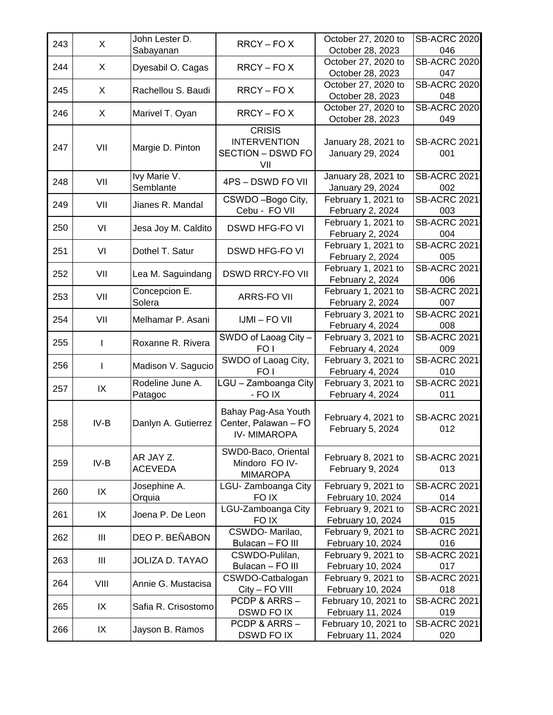| 243 | X      | John Lester D.              | RRCY-FOX                                                                | October 27, 2020 to<br>October 28, 2023  | <b>SB-ACRC 2020</b><br>046 |
|-----|--------|-----------------------------|-------------------------------------------------------------------------|------------------------------------------|----------------------------|
|     |        | Sabayanan                   |                                                                         | October 27, 2020 to                      | <b>SB-ACRC 2020</b>        |
| 244 | X      | Dyesabil O. Cagas           | $RRCY - FOX$                                                            | October 28, 2023                         | 047                        |
| 245 | X      | Rachellou S. Baudi          |                                                                         | October 27, 2020 to                      | <b>SB-ACRC 2020</b>        |
|     |        |                             | RRCY-FOX                                                                | October 28, 2023                         | 048                        |
| 246 | X      |                             | RRCY-FOX                                                                | October 27, 2020 to                      | <b>SB-ACRC 2020</b>        |
|     |        | Marivel T. Oyan             |                                                                         | October 28, 2023                         | 049                        |
| 247 | VII    | Margie D. Pinton            | <b>CRISIS</b><br><b>INTERVENTION</b><br><b>SECTION - DSWD FO</b><br>VII | January 28, 2021 to<br>January 29, 2024  | <b>SB-ACRC 2021</b><br>001 |
| 248 | VII    | Ivy Marie V.<br>Semblante   | 4PS - DSWD FO VII                                                       | January 28, 2021 to<br>January 29, 2024  | <b>SB-ACRC 2021</b><br>002 |
| 249 | VII    | Jianes R. Mandal            | CSWDO-Bogo City,                                                        | February 1, 2021 to                      | <b>SB-ACRC 2021</b>        |
|     |        |                             | Cebu - FO VII                                                           | February 2, 2024                         | 003                        |
| 250 | VI     | Jesa Joy M. Caldito         | <b>DSWD HFG-FO VI</b>                                                   | February 1, 2021 to                      | <b>SB-ACRC 2021</b>        |
|     |        |                             |                                                                         | February 2, 2024                         | 004                        |
| 251 | VI     | Dothel T. Satur             | <b>DSWD HFG-FO VI</b>                                                   | February 1, 2021 to                      | <b>SB-ACRC 2021</b>        |
|     |        |                             |                                                                         | February 2, 2024                         | 005                        |
| 252 | VII    | Lea M. Saguindang           | <b>DSWD RRCY-FO VII</b>                                                 | February 1, 2021 to                      | <b>SB-ACRC 2021</b>        |
|     |        |                             |                                                                         | February 2, 2024                         | 006                        |
| 253 | VII    | Concepcion E.               | <b>ARRS-FO VII</b>                                                      | February 1, 2021 to                      | <b>SB-ACRC 2021</b>        |
|     |        | Solera                      |                                                                         | February 2, 2024                         | 007                        |
| 254 | VII    | Melhamar P. Asani           | <b>IJMI - FO VII</b>                                                    | February 3, 2021 to                      | <b>SB-ACRC 2021</b>        |
|     |        |                             |                                                                         | February 4, 2024                         | 008                        |
| 255 | L      | Roxanne R. Rivera           | SWDO of Laoag City -                                                    | February 3, 2021 to                      | <b>SB-ACRC 2021</b>        |
|     |        |                             | FO <sub>1</sub>                                                         | February 4, 2024                         | 009<br><b>SB-ACRC 2021</b> |
| 256 | I      | Madison V. Sagucio          | SWDO of Laoag City,<br>FO <sub>I</sub>                                  | February 3, 2021 to<br>February 4, 2024  | 010                        |
|     |        | Rodeline June A.            | LGU - Zamboanga City                                                    | February 3, 2021 to                      | <b>SB-ACRC 2021</b>        |
| 257 | IX     | Patagoc                     | - FO IX                                                                 | February 4, 2024                         | 011                        |
| 258 | $IV-B$ | Danlyn A. Gutierrez         | Bahay Pag-Asa Youth<br>Center, Palawan - FO<br><b>IV-MIMAROPA</b>       | February 4, 2021 to<br>February 5, 2024  | <b>SB-ACRC 2021</b><br>012 |
| 259 | $IV-B$ | AR JAY Z.<br><b>ACEVEDA</b> | SWD0-Baco, Oriental<br>Mindoro FO IV-<br><b>MIMAROPA</b>                | February 8, 2021 to<br>February 9, 2024  | <b>SB-ACRC 2021</b><br>013 |
| 260 | IX     | Josephine A.                | LGU-Zamboanga City                                                      | February 9, 2021 to                      | <b>SB-ACRC 2021</b>        |
|     |        | Orquia                      | FO IX                                                                   | February 10, 2024                        | 014                        |
| 261 | IX     | Joena P. De Leon            | LGU-Zamboanga City                                                      | February 9, 2021 to                      | <b>SB-ACRC 2021</b>        |
|     |        |                             | FO IX                                                                   | February 10, 2024                        | 015                        |
| 262 | Ш      | DEO P. BEÑABON              | CSWDO-Marilao,<br>Bulacan - FO III                                      | February 9, 2021 to<br>February 10, 2024 | <b>SB-ACRC 2021</b><br>016 |
|     |        |                             | CSWDO-Pulilan,                                                          | February 9, 2021 to                      | <b>SB-ACRC 2021</b>        |
| 263 | Ш      | <b>JOLIZA D. TAYAO</b>      | Bulacan - FO III                                                        | February 10, 2024                        | 017                        |
|     |        |                             | CSWDO-Catbalogan                                                        | February 9, 2021 to                      | <b>SB-ACRC 2021</b>        |
| 264 | VIII   | Annie G. Mustacisa          | City - FO VIII                                                          | February 10, 2024                        | 018                        |
| 265 | IX     | Safia R. Crisostomo         | PCDP & ARRS-                                                            | February 10, 2021 to                     | <b>SB-ACRC 2021</b>        |
|     |        |                             | DSWD FO IX                                                              | February 11, 2024                        | 019                        |
| 266 | IX     | Jayson B. Ramos             | PCDP & ARRS-                                                            | February 10, 2021 to                     | <b>SB-ACRC 2021</b>        |
|     |        |                             | DSWD FO IX                                                              | February 11, 2024                        | 020                        |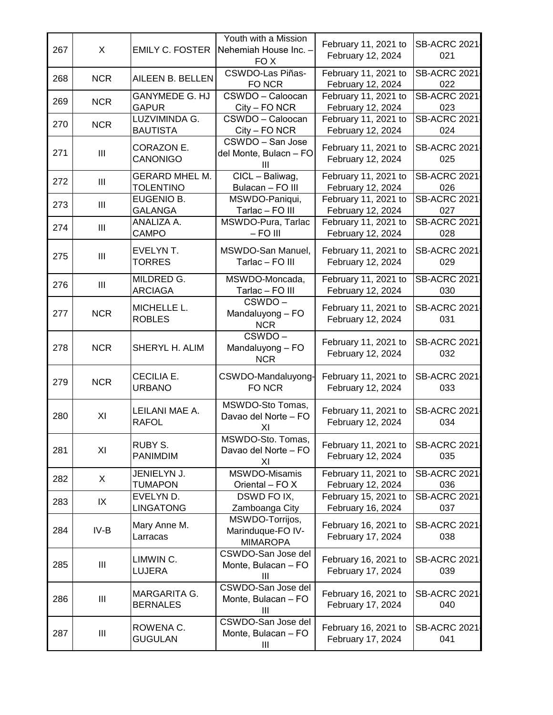| 267 | X              | <b>EMILY C. FOSTER</b>                    | Youth with a Mission<br>Nehemiah House Inc. -<br>FO X       | February 11, 2021 to<br>February 12, 2024 | <b>SB-ACRC 2021</b><br>021 |
|-----|----------------|-------------------------------------------|-------------------------------------------------------------|-------------------------------------------|----------------------------|
| 268 | <b>NCR</b>     | AILEEN B. BELLEN                          | <b>CSWDO-Las Piñas-</b><br>FO NCR                           | February 11, 2021 to<br>February 12, 2024 | <b>SB-ACRC 2021</b><br>022 |
| 269 | <b>NCR</b>     | <b>GANYMEDE G. HJ</b><br><b>GAPUR</b>     | CSWDO - Caloocan<br>City - FO NCR                           | February 11, 2021 to<br>February 12, 2024 | <b>SB-ACRC 2021</b><br>023 |
| 270 | <b>NCR</b>     | LUZVIMINDA G.<br><b>BAUTISTA</b>          | CSWDO - Caloocan<br>City - FO NCR                           | February 11, 2021 to<br>February 12, 2024 | <b>SB-ACRC 2021</b><br>024 |
| 271 | $\mathbf{III}$ | CORAZON E.<br><b>CANONIGO</b>             | CSWDO - San Jose<br>del Monte, Bulacn - FO<br>Ш             | February 11, 2021 to<br>February 12, 2024 | <b>SB-ACRC 2021</b><br>025 |
| 272 | $\mathbf{III}$ | <b>GERARD MHEL M.</b><br><b>TOLENTINO</b> | CICL - Baliwag,<br>Bulacan - FO III                         | February 11, 2021 to<br>February 12, 2024 | <b>SB-ACRC 2021</b><br>026 |
| 273 | $\mathbf{III}$ | EUGENIO B.<br><b>GALANGA</b>              | MSWDO-Paniqui,<br>Tarlac - FO III                           | February 11, 2021 to<br>February 12, 2024 | <b>SB-ACRC 2021</b><br>027 |
| 274 | $\mathbf{III}$ | ANALIZA A.<br><b>CAMPO</b>                | MSWDO-Pura, Tarlac<br>$-$ FO III                            | February 11, 2021 to<br>February 12, 2024 | <b>SB-ACRC 2021</b><br>028 |
| 275 | $\mathbf{III}$ | EVELYN T.<br><b>TORRES</b>                | MSWDO-San Manuel,<br>Tarlac - FO III                        | February 11, 2021 to<br>February 12, 2024 | <b>SB-ACRC 2021</b><br>029 |
| 276 | $\mathbf{III}$ | MILDRED G.<br><b>ARCIAGA</b>              | MSWDO-Moncada,<br>Tarlac - FO III                           | February 11, 2021 to<br>February 12, 2024 | <b>SB-ACRC 2021</b><br>030 |
| 277 | <b>NCR</b>     | MICHELLE L.<br><b>ROBLES</b>              | CSWDO-<br>Mandaluyong - FO<br><b>NCR</b>                    | February 11, 2021 to<br>February 12, 2024 | <b>SB-ACRC 2021</b><br>031 |
| 278 | <b>NCR</b>     | SHERYL H. ALIM                            | CSWDO-<br>Mandaluyong - FO<br><b>NCR</b>                    | February 11, 2021 to<br>February 12, 2024 | <b>SB-ACRC 2021</b><br>032 |
| 279 | <b>NCR</b>     | CECILIA E.<br><b>URBANO</b>               | CSWDO-Mandaluyong-<br>FO NCR                                | February 11, 2021 to<br>February 12, 2024 | <b>SB-ACRC 2021</b><br>033 |
| 280 | XI             | LEILANI MAE A.<br><b>RAFOL</b>            | MSWDO-Sto Tomas,<br>Davao del Norte - FO<br>ΧI              | February 11, 2021 to<br>February 12, 2024 | <b>SB-ACRC 2021</b><br>034 |
| 281 | XI             | <b>RUBY S.</b><br><b>PANIMDIM</b>         | MSWDO-Sto. Tomas,<br>Davao del Norte - FO<br>XI             | February 11, 2021 to<br>February 12, 2024 | <b>SB-ACRC 2021</b><br>035 |
| 282 | X              | JENIELYN J.<br><b>TUMAPON</b>             | MSWDO-Misamis<br>Oriental - FO X                            | February 11, 2021 to<br>February 12, 2024 | <b>SB-ACRC 2021</b><br>036 |
| 283 | IX             | EVELYN D.<br><b>LINGATONG</b>             | DSWD FO IX,<br>Zamboanga City                               | February 15, 2021 to<br>February 16, 2024 | <b>SB-ACRC 2021</b><br>037 |
| 284 | IV-B           | Mary Anne M.<br>Larracas                  | MSWDO-Torrijos,<br>Marinduque-FO IV-<br><b>MIMAROPA</b>     | February 16, 2021 to<br>February 17, 2024 | <b>SB-ACRC 2021</b><br>038 |
| 285 | Ш              | LIMWIN C.<br>LUJERA                       | CSWDO-San Jose del<br>Monte, Bulacan - FO<br>Ш              | February 16, 2021 to<br>February 17, 2024 | <b>SB-ACRC 2021</b><br>039 |
| 286 | Ш              | MARGARITA G.<br><b>BERNALES</b>           | CSWDO-San Jose del<br>Monte, Bulacan - FO<br>III            | February 16, 2021 to<br>February 17, 2024 | <b>SB-ACRC 2021</b><br>040 |
| 287 | Ш              | ROWENA C.<br><b>GUGULAN</b>               | CSWDO-San Jose del<br>Monte, Bulacan - FO<br>$\mathbf{III}$ | February 16, 2021 to<br>February 17, 2024 | <b>SB-ACRC 2021</b><br>041 |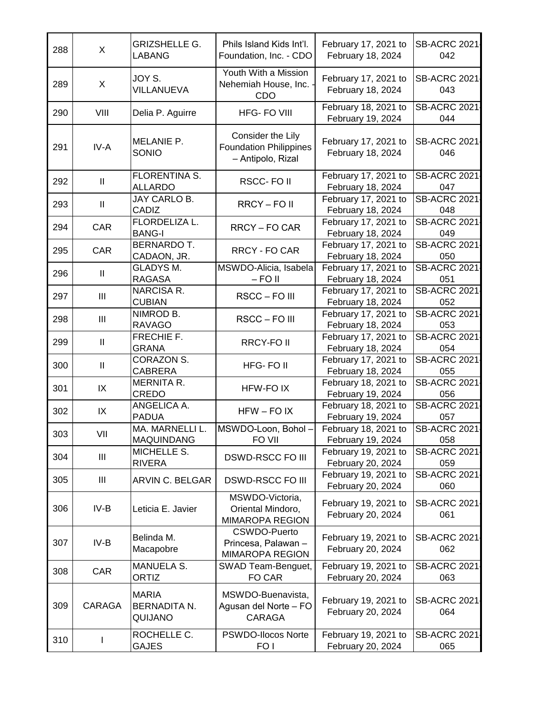| 288 | X                                  | <b>GRIZSHELLE G.</b><br>LABANG                 | Phils Island Kids Int'l.<br>Foundation, Inc. - CDO                      | February 17, 2021 to<br>February 18, 2024 | <b>SB-ACRC 2021</b><br>042 |
|-----|------------------------------------|------------------------------------------------|-------------------------------------------------------------------------|-------------------------------------------|----------------------------|
| 289 | X                                  | JOY S.<br>VILLANUEVA                           | Youth With a Mission<br>Nehemiah House, Inc.<br>CDO                     | February 17, 2021 to<br>February 18, 2024 | <b>SB-ACRC 2021</b><br>043 |
| 290 | VIII                               | Delia P. Aguirre                               | <b>HFG-FO VIII</b>                                                      | February 18, 2021 to<br>February 19, 2024 | <b>SB-ACRC 2021</b><br>044 |
| 291 | IV-A                               | MELANIE P.<br>SONIO                            | Consider the Lily<br><b>Foundation Philippines</b><br>- Antipolo, Rizal | February 17, 2021 to<br>February 18, 2024 | <b>SB-ACRC 2021</b><br>046 |
| 292 | $\mathbf{II}$                      | FLORENTINA S.<br><b>ALLARDO</b>                | RSCC-FOII                                                               | February 17, 2021 to<br>February 18, 2024 | <b>SB-ACRC 2021</b><br>047 |
| 293 | $\mathbf{I}$                       | JAY CARLO B.<br>CADIZ                          | RRCY-FOII                                                               | February 17, 2021 to<br>February 18, 2024 | <b>SB-ACRC 2021</b><br>048 |
| 294 | CAR                                | FLORDELIZA L.<br><b>BANG-I</b>                 | RRCY-FO CAR                                                             | February 17, 2021 to<br>February 18, 2024 | <b>SB-ACRC 2021</b><br>049 |
| 295 | CAR                                | <b>BERNARDO T.</b><br>CADAON, JR.              | RRCY - FO CAR                                                           | February 17, 2021 to<br>February 18, 2024 | SB-ACRC 2021<br>050        |
| 296 | $\mathbf{II}$                      | <b>GLADYS M.</b><br><b>RAGASA</b>              | MSWDO-Alicia, Isabela<br>$-$ FO II                                      | February 17, 2021 to<br>February 18, 2024 | <b>SB-ACRC 2021</b><br>051 |
| 297 | $\ensuremath{\mathsf{III}}\xspace$ | NARCISA R.<br><b>CUBIAN</b>                    | RSCC-FO III                                                             | February 17, 2021 to<br>February 18, 2024 | <b>SB-ACRC 2021</b><br>052 |
| 298 | $\mathbf{III}$                     | NIMROD B.<br><b>RAVAGO</b>                     | RSCC-FOIII                                                              | February 17, 2021 to<br>February 18, 2024 | <b>SB-ACRC 2021</b><br>053 |
| 299 | $\ensuremath{\mathsf{II}}$         | FRECHIE F.<br><b>GRANA</b>                     | <b>RRCY-FOII</b>                                                        | February 17, 2021 to<br>February 18, 2024 | <b>SB-ACRC 2021</b><br>054 |
| 300 | $\mathbf{II}$                      | CORAZON S.<br><b>CABRERA</b>                   | HFG-FOII                                                                | February 17, 2021 to<br>February 18, 2024 | <b>SB-ACRC 2021</b><br>055 |
| 301 | IX                                 | MERNITA R.<br>CREDO                            | HFW-FO IX                                                               | February 18, 2021 to<br>February 19, 2024 | <b>SB-ACRC 2021</b><br>056 |
| 302 | IX                                 | ANGELICA A.<br><b>PADUA</b>                    | $HFW - FO IX$                                                           | February 18, 2021 to<br>February 19, 2024 | <b>SB-ACRC 2021</b><br>057 |
| 303 | VII                                | MA. MARNELLI L.<br>MAQUINDANG                  | MSWDO-Loon, Bohol-<br>FO VII                                            | February 18, 2021 to<br>February 19, 2024 | SB-ACRC 2021<br>058        |
| 304 | Ш                                  | MICHELLE S.<br><b>RIVERA</b>                   | <b>DSWD-RSCC FO III</b>                                                 | February 19, 2021 to<br>February 20, 2024 | <b>SB-ACRC 2021</b><br>059 |
| 305 | Ш                                  | ARVIN C. BELGAR                                | <b>DSWD-RSCC FO III</b>                                                 | February 19, 2021 to<br>February 20, 2024 | <b>SB-ACRC 2021</b><br>060 |
| 306 | $IV-B$                             | Leticia E. Javier                              | MSWDO-Victoria,<br>Oriental Mindoro,<br><b>MIMAROPA REGION</b>          | February 19, 2021 to<br>February 20, 2024 | <b>SB-ACRC 2021</b><br>061 |
| 307 | $IV-B$                             | Belinda M.<br>Macapobre                        | <b>CSWDO-Puerto</b><br>Princesa, Palawan -<br><b>MIMAROPA REGION</b>    | February 19, 2021 to<br>February 20, 2024 | <b>SB-ACRC 2021</b><br>062 |
| 308 | CAR                                | <b>MANUELA S.</b><br><b>ORTIZ</b>              | SWAD Team-Benguet,<br>FO CAR                                            | February 19, 2021 to<br>February 20, 2024 | <b>SB-ACRC 2021</b><br>063 |
| 309 | <b>CARAGA</b>                      | <b>MARIA</b><br><b>BERNADITA N.</b><br>QUIJANO | MSWDO-Buenavista,<br>Agusan del Norte - FO<br><b>CARAGA</b>             | February 19, 2021 to<br>February 20, 2024 | <b>SB-ACRC 2021</b><br>064 |
| 310 | I                                  | ROCHELLE C.<br><b>GAJES</b>                    | PSWDO-Ilocos Norte<br>FO <sub>I</sub>                                   | February 19, 2021 to<br>February 20, 2024 | <b>SB-ACRC 2021</b><br>065 |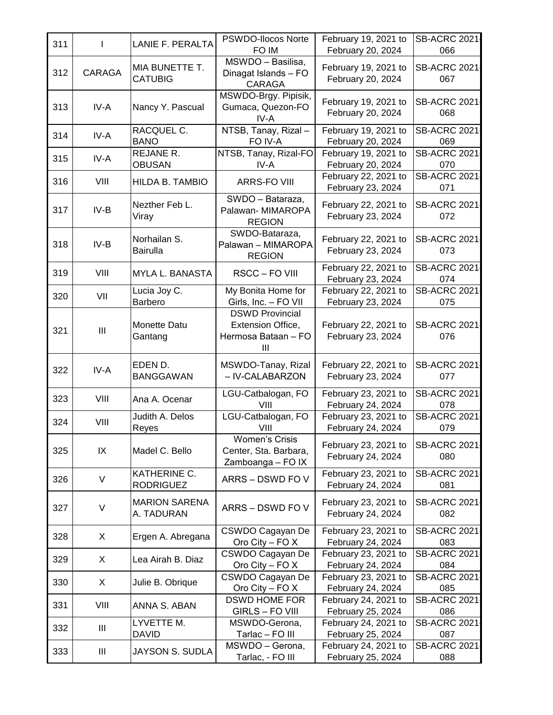| 311 | T              | <b>LANIE F. PERALTA</b>         | PSWDO-Ilocos Norte               | February 19, 2021 to                      | <b>SB-ACRC 2021</b>        |
|-----|----------------|---------------------------------|----------------------------------|-------------------------------------------|----------------------------|
|     |                |                                 | FO IM<br>MSWDO - Basilisa,       | February 20, 2024                         | 066                        |
| 312 | CARAGA         | MIA BUNETTE T.                  | Dinagat Islands - FO             | February 19, 2021 to                      | <b>SB-ACRC 2021</b>        |
|     |                | <b>CATUBIG</b>                  | <b>CARAGA</b>                    | February 20, 2024                         | 067                        |
|     |                |                                 | MSWDO-Brgy. Pipisik,             |                                           |                            |
| 313 | IV-A           | Nancy Y. Pascual                | Gumaca, Quezon-FO                | February 19, 2021 to<br>February 20, 2024 | <b>SB-ACRC 2021</b><br>068 |
|     |                |                                 | IV-A                             |                                           |                            |
| 314 | IV-A           | RACQUEL C.                      | NTSB, Tanay, Rizal-              | February 19, 2021 to                      | <b>SB-ACRC 2021</b>        |
|     |                | <b>BANO</b><br><b>REJANE R.</b> | FO IV-A                          | February 20, 2024                         | 069<br><b>SB-ACRC 2021</b> |
| 315 | IV-A           | <b>OBUSAN</b>                   | NTSB, Tanay, Rizal-FO<br>IV-A    | February 19, 2021 to<br>February 20, 2024 | 070                        |
|     |                |                                 |                                  | February 22, 2021 to                      | <b>SB-ACRC 2021</b>        |
| 316 | VIII           | HILDA B. TAMBIO                 | <b>ARRS-FO VIII</b>              | February 23, 2024                         | 071                        |
|     |                |                                 | SWDO - Bataraza,                 |                                           |                            |
| 317 | $IV-B$         | Nezther Feb L.                  | Palawan- MIMAROPA                | February 22, 2021 to                      | <b>SB-ACRC 2021</b>        |
|     |                | Viray                           | <b>REGION</b>                    | February 23, 2024                         | 072                        |
|     |                | Norhailan S.                    | SWDO-Bataraza,                   | February 22, 2021 to                      | <b>SB-ACRC 2021</b>        |
| 318 | $IV-B$         | <b>Bairulla</b>                 | Palawan - MIMAROPA               | February 23, 2024                         | 073                        |
|     |                |                                 | <b>REGION</b>                    |                                           |                            |
| 319 | VIII           | MYLA L. BANASTA                 | RSCC-FO VIII                     | February 22, 2021 to<br>February 23, 2024 | <b>SB-ACRC 2021</b><br>074 |
|     |                | Lucia Joy C.                    | My Bonita Home for               | February 22, 2021 to                      | <b>SB-ACRC 2021</b>        |
| 320 | VII            | Barbero                         | Girls, Inc. - FO VII             | February 23, 2024                         | 075                        |
|     |                |                                 | <b>DSWD Provincial</b>           |                                           |                            |
|     | $\mathbf{III}$ | Monette Datu                    | Extension Office,                | February 22, 2021 to                      | <b>SB-ACRC 2021</b>        |
| 321 |                | Gantang                         | Hermosa Bataan - FO              | February 23, 2024                         | 076                        |
|     |                |                                 | Ш                                |                                           |                            |
|     |                | EDEN D.                         | MSWDO-Tanay, Rizal               | February 22, 2021 to                      | <b>SB-ACRC 2021</b>        |
| 322 | IV-A           | <b>BANGGAWAN</b>                | - IV-CALABARZON                  | February 23, 2024                         | 077                        |
|     |                |                                 | LGU-Catbalogan, FO               | February 23, 2021 to                      | <b>SB-ACRC 2021</b>        |
| 323 | VIII           | Ana A. Ocenar                   | VIII                             | February 24, 2024                         | 078                        |
|     |                | Judith A. Delos                 | LGU-Catbalogan, FO               | February 23, 2021 to                      | <b>SB-ACRC 2021</b>        |
| 324 | VIII           | Reyes                           | VIII                             | February 24, 2024                         | 079                        |
|     |                |                                 | Women's Crisis                   |                                           |                            |
| 325 | IX             | Madel C. Bello                  | Center, Sta. Barbara,            | February 23, 2021 to<br>February 24, 2024 | <b>SB-ACRC 2021</b><br>080 |
|     |                |                                 | Zamboanga - FO IX                |                                           |                            |
| 326 | V              | KATHERINE C.                    | ARRS - DSWD FO V                 | February 23, 2021 to                      | <b>SB-ACRC 2021</b>        |
|     |                | <b>RODRIGUEZ</b>                |                                  | February 24, 2024                         | 081                        |
| 327 | V              | <b>MARION SARENA</b>            | ARRS - DSWD FO V                 | February 23, 2021 to                      | <b>SB-ACRC 2021</b>        |
|     |                | A. TADURAN                      |                                  | February 24, 2024                         | 082                        |
|     |                |                                 | CSWDO Cagayan De                 | February 23, 2021 to                      | <b>SB-ACRC 2021</b>        |
| 328 | X              | Ergen A. Abregana               | Oro City - FO $X$                | February 24, 2024                         | 083                        |
| 329 | X              | Lea Airah B. Diaz               | CSWDO Cagayan De                 | February 23, 2021 to                      | <b>SB-ACRC 2021</b>        |
|     |                |                                 | Oro City - FO $X$                | February 24, 2024                         | 084                        |
| 330 | X              | Julie B. Obrique                | CSWDO Cagayan De                 | February 23, 2021 to                      | <b>SB-ACRC 2021</b>        |
|     |                |                                 | Oro City – FO $X$                | February 24, 2024                         | 085                        |
| 331 | VIII           | ANNA S. ABAN                    | <b>DSWD HOME FOR</b>             | February 24, 2021 to                      | <b>SB-ACRC 2021</b>        |
|     |                | LYVETTE M.                      | GIRLS - FO VIII<br>MSWDO-Gerona, | February 25, 2024<br>February 24, 2021 to | 086<br><b>SB-ACRC 2021</b> |
| 332 | Ш              | <b>DAVID</b>                    | Tarlac - FO III                  | February 25, 2024                         | 087                        |
|     |                |                                 | MSWDO - Gerona,                  | February 24, 2021 to                      | <b>SB-ACRC 2021</b>        |
| 333 | Ш              | JAYSON S. SUDLA                 | Tarlac, - FO III                 | February 25, 2024                         | 088                        |